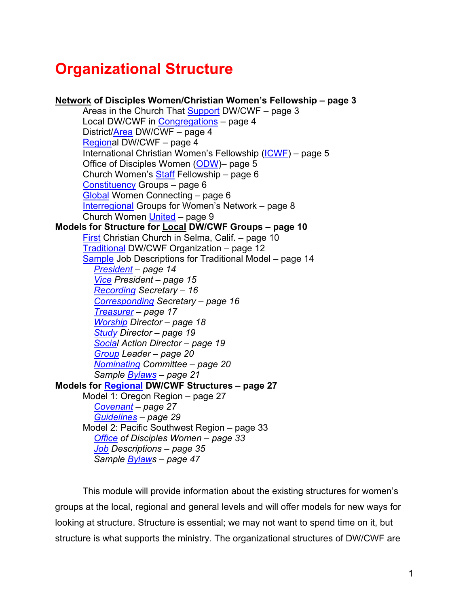# **Organizational Structure**

| Network of Disciples Women/Christian Women's Fellowship - page 3 |
|------------------------------------------------------------------|
| Areas in the Church That Support DW/CWF - page 3                 |
| Local DW/CWF in Congregations - page 4                           |
| District/Area DW/CWF - page 4                                    |
| Regional DW/CWF - page 4                                         |
| International Christian Women's Fellowship (ICWF) - page 5       |
| Office of Disciples Women (ODW)- page 5                          |
| Church Women's <b>Staff</b> Fellowship - page 6                  |
| Constituency Groups - page 6                                     |
| Global Women Connecting - page 6                                 |
| <b>Interregional Groups for Women's Network - page 8</b>         |
| Church Women United - page 9                                     |
| Models for Structure for Local DW/CWF Groups - page 10           |
| First Christian Church in Selma, Calif. - page 10                |
| Traditional DW/CWF Organization - page 12                        |
| Sample Job Descriptions for Traditional Model - page 14          |
| President - page 14                                              |
| Vice President - page 15                                         |
| <b>Recording Secretary - 16</b>                                  |
| Corresponding Secretary - page 16                                |
| Treasurer - page 17                                              |
| <b>Worship Director - page 18</b>                                |
| <b>Study Director - page 19</b>                                  |
| Social Action Director - page 19                                 |
| Group Leader - page 20                                           |
| Nominating Committee - page 20                                   |
| Sample <b>Bylaws</b> - page 21                                   |
| Models for Regional DW/CWF Structures - page 27                  |
| Model 1: Oregon Region - page 27                                 |
| Covenant - page 27                                               |
| Guidelines - page 29                                             |
| Model 2: Pacific Southwest Region - page 33                      |
| Office of Disciples Women - page 33                              |
| Job Descriptions - page 35                                       |
| Sample <b>Bylaws</b> - page 47                                   |

This module will provide information about the existing structures for women's groups at the local, regional and general levels and will offer models for new ways for looking at structure. Structure is essential; we may not want to spend time on it, but structure is what supports the ministry. The organizational structures of DW/CWF are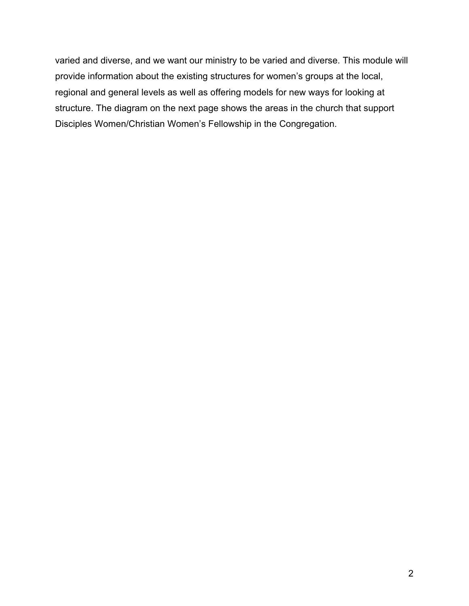varied and diverse, and we want our ministry to be varied and diverse. This module will provide information about the existing structures for women's groups at the local, regional and general levels as well as offering models for new ways for looking at structure. The diagram on the next page shows the areas in the church that support Disciples Women/Christian Women's Fellowship in the Congregation.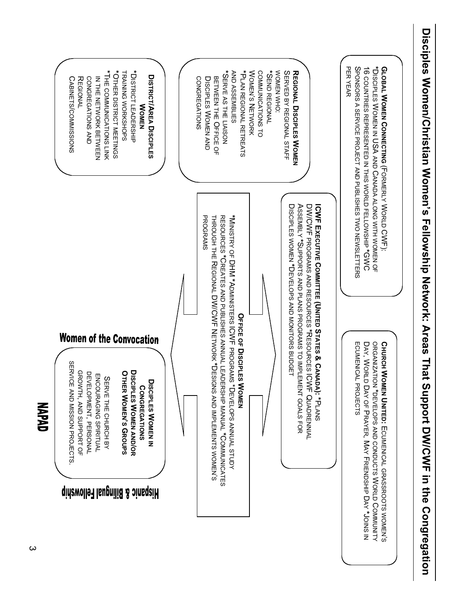<span id="page-2-0"></span>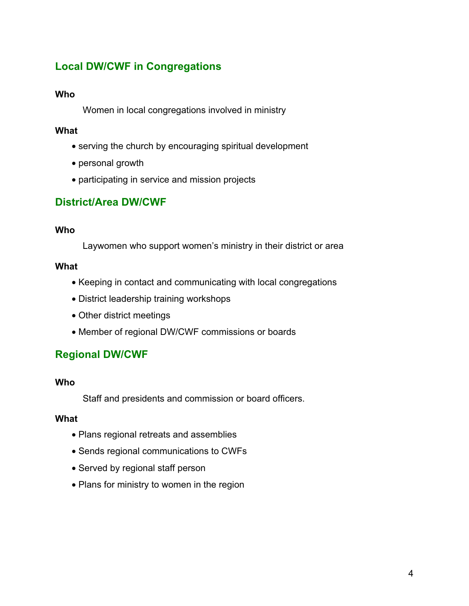# <span id="page-3-0"></span>**Local DW/CWF in Congregations**

#### **Who**

Women in local congregations involved in ministry

# **What**

- serving the church by encouraging spiritual development
- personal growth
- participating in service and mission projects

# **District/Area DW/CWF**

#### **Who**

Laywomen who support women's ministry in their district or area

### **What**

- Keeping in contact and communicating with local congregations
- District leadership training workshops
- Other district meetings
- Member of regional DW/CWF commissions or boards

# **Regional DW/CWF**

#### **Who**

Staff and presidents and commission or board officers.

#### **What**

- Plans regional retreats and assemblies
- Sends regional communications to CWFs
- Served by regional staff person
- Plans for ministry to women in the region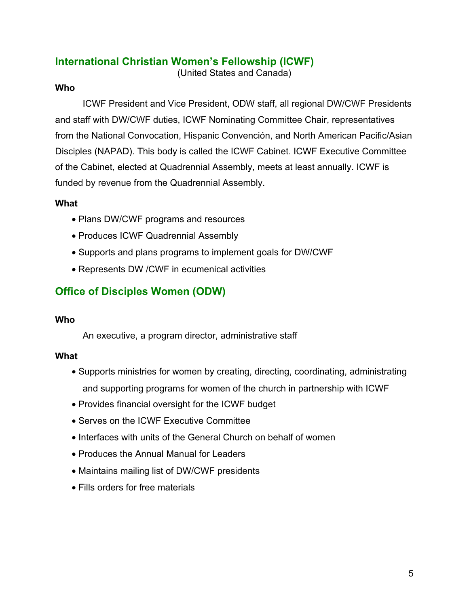# <span id="page-4-0"></span>**International Christian Women's Fellowship (ICWF)**

(United States and Canada)

### **Who**

ICWF President and Vice President, ODW staff, all regional DW/CWF Presidents and staff with DW/CWF duties, ICWF Nominating Committee Chair, representatives from the National Convocation, Hispanic Convención, and North American Pacific/Asian Disciples (NAPAD). This body is called the ICWF Cabinet. ICWF Executive Committee of the Cabinet, elected at Quadrennial Assembly, meets at least annually. ICWF is funded by revenue from the Quadrennial Assembly.

### **What**

- Plans DW/CWF programs and resources
- Produces ICWF Quadrennial Assembly
- Supports and plans programs to implement goals for DW/CWF
- Represents DW /CWF in ecumenical activities

# **Office of Disciples Women (ODW)**

#### **Who**

An executive, a program director, administrative staff

#### **What**

- Supports ministries for women by creating, directing, coordinating, administrating and supporting programs for women of the church in partnership with ICWF
- Provides financial oversight for the ICWF budget
- Serves on the ICWF Executive Committee
- Interfaces with units of the General Church on behalf of women
- Produces the Annual Manual for Leaders
- Maintains mailing list of DW/CWF presidents
- Fills orders for free materials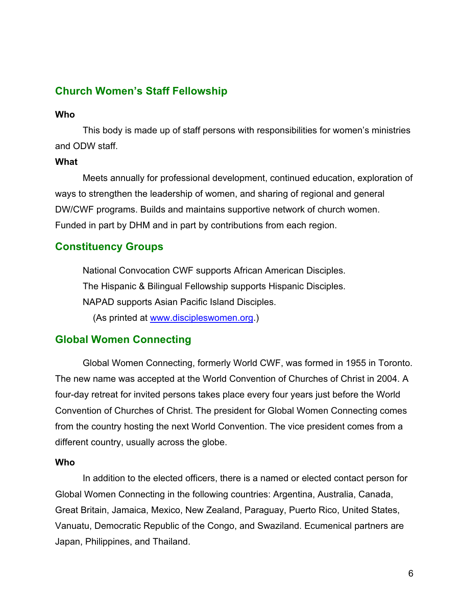# <span id="page-5-0"></span>**Church Women's Staff Fellowship**

#### **Who**

This body is made up of staff persons with responsibilities for women's ministries and ODW staff.

#### **What**

Meets annually for professional development, continued education, exploration of ways to strengthen the leadership of women, and sharing of regional and general DW/CWF programs. Builds and maintains supportive network of church women. Funded in part by DHM and in part by contributions from each region.

# **Constituency Groups**

National Convocation CWF supports African American Disciples. The Hispanic & Bilingual Fellowship supports Hispanic Disciples. NAPAD supports Asian Pacific Island Disciples. (As printed at [www.discipleswomen.org.\)](www.discipleswomen.org)

# **Global Women Connecting**

Global Women Connecting, formerly World CWF, was formed in 1955 in Toronto. The new name was accepted at the World Convention of Churches of Christ in 2004. A four-day retreat for invited persons takes place every four years just before the World Convention of Churches of Christ. The president for Global Women Connecting comes from the country hosting the next World Convention. The vice president comes from a different country, usually across the globe.

#### **Who**

In addition to the elected officers, there is a named or elected contact person for Global Women Connecting in the following countries: Argentina, Australia, Canada, Great Britain, Jamaica, Mexico, New Zealand, Paraguay, Puerto Rico, United States, Vanuatu, Democratic Republic of the Congo, and Swaziland. Ecumenical partners are Japan, Philippines, and Thailand.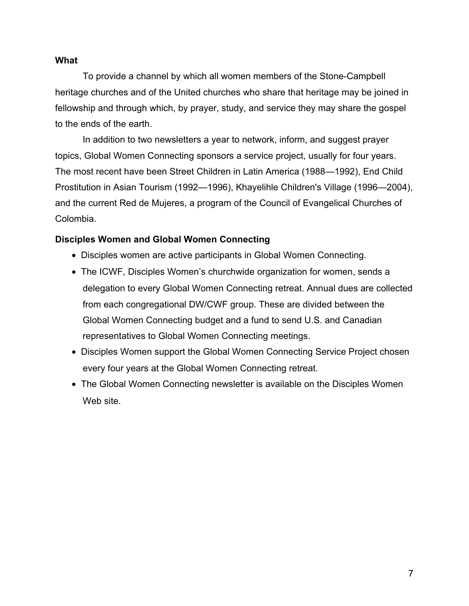#### **What**

To provide a channel by which all women members of the Stone-Campbell heritage churches and of the United churches who share that heritage may be joined in fellowship and through which, by prayer, study, and service they may share the gospel to the ends of the earth.

In addition to two newsletters a year to network, inform, and suggest prayer topics, Global Women Connecting sponsors a service project, usually for four years. The most recent have been Street Children in Latin America (1988—1992), End Child Prostitution in Asian Tourism (1992—1996), Khayelihle Children's Village (1996—2004), and the current Red de Mujeres, a program of the Council of Evangelical Churches of Colombia.

#### **Disciples Women and Global Women Connecting**

- Disciples women are active participants in Global Women Connecting.
- The ICWF, Disciples Women's churchwide organization for women, sends a delegation to every Global Women Connecting retreat. Annual dues are collected from each congregational DW/CWF group. These are divided between the Global Women Connecting budget and a fund to send U.S. and Canadian representatives to Global Women Connecting meetings.
- Disciples Women support the Global Women Connecting Service Project chosen every four years at the Global Women Connecting retreat.
- The Global Women Connecting newsletter is available on the Disciples Women Web site.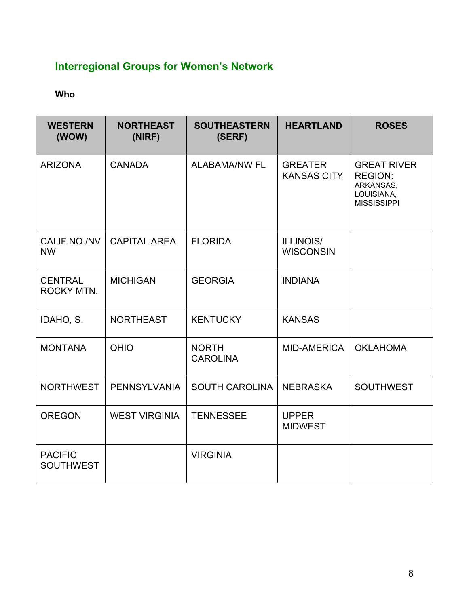# <span id="page-7-0"></span>**Interregional Groups for Women's Network**

# **Who**

| <b>WESTERN</b><br>(WOW)             | <b>NORTHEAST</b><br>(NIRF) | <b>SOUTHEASTERN</b><br>(SERF)   | <b>HEARTLAND</b>                     | <b>ROSES</b>                                                                          |
|-------------------------------------|----------------------------|---------------------------------|--------------------------------------|---------------------------------------------------------------------------------------|
| <b>ARIZONA</b>                      | <b>CANADA</b>              | <b>ALABAMA/NW FL</b>            | <b>GREATER</b><br><b>KANSAS CITY</b> | <b>GREAT RIVER</b><br><b>REGION:</b><br>ARKANSAS,<br>LOUISIANA,<br><b>MISSISSIPPI</b> |
| CALIF.NO./NV<br><b>NW</b>           | <b>CAPITAL AREA</b>        | <b>FLORIDA</b>                  | <b>ILLINOIS/</b><br><b>WISCONSIN</b> |                                                                                       |
| <b>CENTRAL</b><br><b>ROCKY MTN.</b> | <b>MICHIGAN</b>            | <b>GEORGIA</b>                  | <b>INDIANA</b>                       |                                                                                       |
| IDAHO, S.                           | <b>NORTHEAST</b>           | <b>KENTUCKY</b>                 | <b>KANSAS</b>                        |                                                                                       |
| <b>MONTANA</b>                      | <b>OHIO</b>                | <b>NORTH</b><br><b>CAROLINA</b> | <b>MID-AMERICA</b>                   | <b>OKLAHOMA</b>                                                                       |
| <b>NORTHWEST</b>                    | <b>PENNSYLVANIA</b>        | <b>SOUTH CAROLINA</b>           | <b>NEBRASKA</b>                      | <b>SOUTHWEST</b>                                                                      |
| <b>OREGON</b>                       | <b>WEST VIRGINIA</b>       | <b>TENNESSEE</b>                | <b>UPPER</b><br><b>MIDWEST</b>       |                                                                                       |
| <b>PACIFIC</b><br><b>SOUTHWEST</b>  |                            | <b>VIRGINIA</b>                 |                                      |                                                                                       |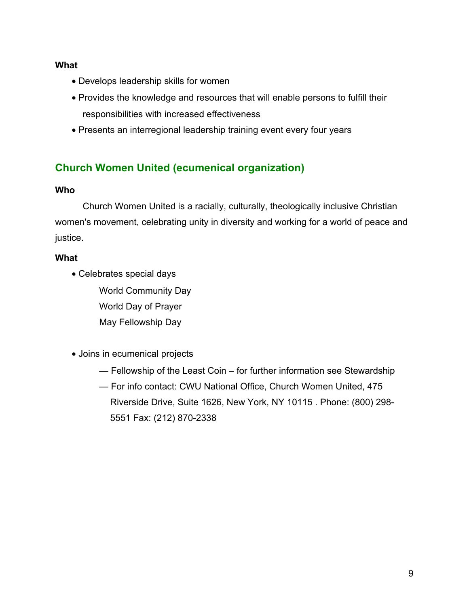#### <span id="page-8-0"></span>**What**

- Develops leadership skills for women
- Provides the knowledge and resources that will enable persons to fulfill their responsibilities with increased effectiveness
- Presents an interregional leadership training event every four years

# **Church Women United (ecumenical organization)**

#### **Who**

Church Women United is a racially, culturally, theologically inclusive Christian women's movement, celebrating unity in diversity and working for a world of peace and justice.

#### **What**

• Celebrates special days

World Community Day World Day of Prayer May Fellowship Day

- Joins in ecumenical projects
	- Fellowship of the Least Coin for further information see Stewardship
	- For info contact: CWU National Office, Church Women United, 475 Riverside Drive, Suite 1626, New York, NY 10115 . Phone: (800) 298- 5551 Fax: (212) 870-2338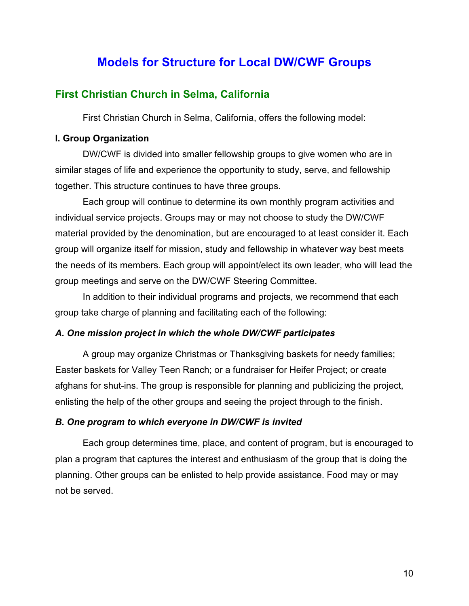# **Models for Structure for Local DW/CWF Groups**

# <span id="page-9-0"></span>**First Christian Church in Selma, California**

First Christian Church in Selma, California, offers the following model:

#### **I. Group Organization**

DW/CWF is divided into smaller fellowship groups to give women who are in similar stages of life and experience the opportunity to study, serve, and fellowship together. This structure continues to have three groups.

Each group will continue to determine its own monthly program activities and individual service projects. Groups may or may not choose to study the DW/CWF material provided by the denomination, but are encouraged to at least consider it. Each group will organize itself for mission, study and fellowship in whatever way best meets the needs of its members. Each group will appoint/elect its own leader, who will lead the group meetings and serve on the DW/CWF Steering Committee.

In addition to their individual programs and projects, we recommend that each group take charge of planning and facilitating each of the following:

#### *A. One mission project in which the whole DW/CWF participates*

A group may organize Christmas or Thanksgiving baskets for needy families; Easter baskets for Valley Teen Ranch; or a fundraiser for Heifer Project; or create afghans for shut-ins. The group is responsible for planning and publicizing the project, enlisting the help of the other groups and seeing the project through to the finish.

#### *B. One program to which everyone in DW/CWF is invited*

Each group determines time, place, and content of program, but is encouraged to plan a program that captures the interest and enthusiasm of the group that is doing the planning. Other groups can be enlisted to help provide assistance. Food may or may not be served.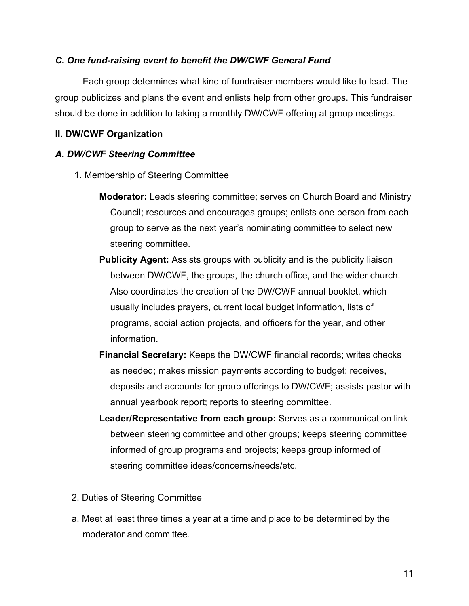#### *C. One fund-raising event to benefit the DW/CWF General Fund*

Each group determines what kind of fundraiser members would like to lead. The group publicizes and plans the event and enlists help from other groups. This fundraiser should be done in addition to taking a monthly DW/CWF offering at group meetings.

#### **II. DW/CWF Organization**

#### *A. DW/CWF Steering Committee*

- 1. Membership of Steering Committee
	- **Moderator:** Leads steering committee; serves on Church Board and Ministry Council; resources and encourages groups; enlists one person from each group to serve as the next year's nominating committee to select new steering committee.
	- **Publicity Agent:** Assists groups with publicity and is the publicity liaison between DW/CWF, the groups, the church office, and the wider church. Also coordinates the creation of the DW/CWF annual booklet, which usually includes prayers, current local budget information, lists of programs, social action projects, and officers for the year, and other information.
	- **Financial Secretary:** Keeps the DW/CWF financial records; writes checks as needed; makes mission payments according to budget; receives, deposits and accounts for group offerings to DW/CWF; assists pastor with annual yearbook report; reports to steering committee.
	- **Leader/Representative from each group:** Serves as a communication link between steering committee and other groups; keeps steering committee informed of group programs and projects; keeps group informed of steering committee ideas/concerns/needs/etc.
- 2. Duties of Steering Committee
- a. Meet at least three times a year at a time and place to be determined by the moderator and committee.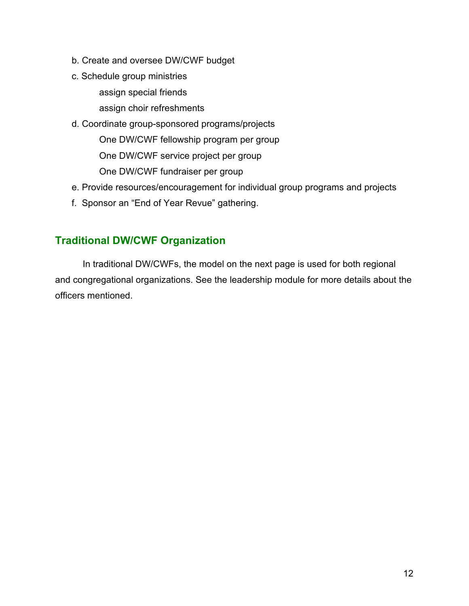- <span id="page-11-0"></span>b. Create and oversee DW/CWF budget
- c. Schedule group ministries

assign special friends

assign choir refreshments

- d. Coordinate group-sponsored programs/projects One DW/CWF fellowship program per group One DW/CWF service project per group One DW/CWF fundraiser per group
- e. Provide resources/encouragement for individual group programs and projects
- f. Sponsor an "End of Year Revue" gathering.

# **Traditional DW/CWF Organization**

In traditional DW/CWFs, the model on the next page is used for both regional and congregational organizations. See the leadership module for more details about the officers mentioned.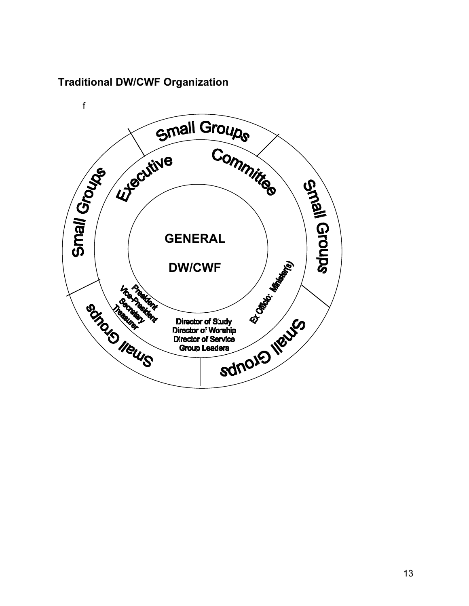# **Traditional DW/CWF Organization**

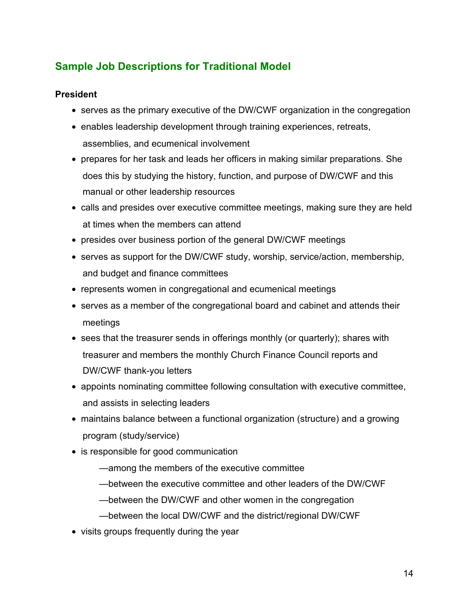# <span id="page-13-0"></span>**Sample Job Descriptions for Traditional Model**

# **President**

- serves as the primary executive of the DW/CWF organization in the congregation
- enables leadership development through training experiences, retreats, assemblies, and ecumenical involvement
- prepares for her task and leads her officers in making similar preparations. She does this by studying the history, function, and purpose of DW/CWF and this manual or other leadership resources
- calls and presides over executive committee meetings, making sure they are held at times when the members can attend
- presides over business portion of the general DW/CWF meetings
- serves as support for the DW/CWF study, worship, service/action, membership, and budget and finance committees
- represents women in congregational and ecumenical meetings
- serves as a member of the congregational board and cabinet and attends their meetings
- sees that the treasurer sends in offerings monthly (or quarterly); shares with treasurer and members the monthly Church Finance Council reports and DW/CWF thank-you letters
- appoints nominating committee following consultation with executive committee, and assists in selecting leaders
- maintains balance between a functional organization (structure) and a growing program (study/service)
- is responsible for good communication
	- —among the members of the executive committee
	- —between the executive committee and other leaders of the DW/CWF
	- —between the DW/CWF and other women in the congregation
	- —between the local DW/CWF and the district/regional DW/CWF
- visits groups frequently during the year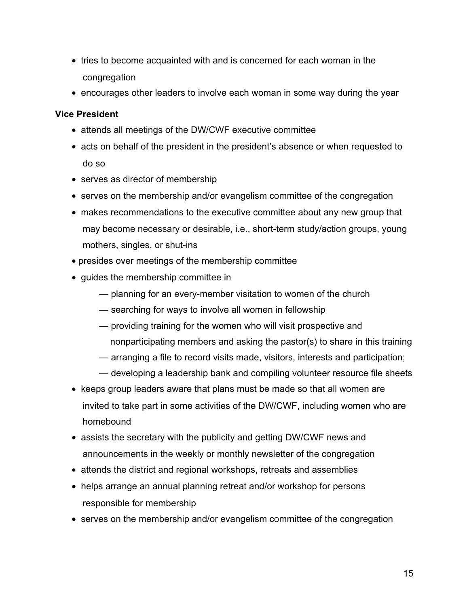- <span id="page-14-0"></span>• tries to become acquainted with and is concerned for each woman in the congregation
- encourages other leaders to involve each woman in some way during the year

#### **Vice President**

- attends all meetings of the DW/CWF executive committee
- acts on behalf of the president in the president's absence or when requested to do so
- serves as director of membership
- serves on the membership and/or evangelism committee of the congregation
- makes recommendations to the executive committee about any new group that may become necessary or desirable, i.e., short-term study/action groups, young mothers, singles, or shut-ins
- presides over meetings of the membership committee
- guides the membership committee in
	- planning for an every-member visitation to women of the church
	- searching for ways to involve all women in fellowship
	- providing training for the women who will visit prospective and
	- nonparticipating members and asking the pastor(s) to share in this training
	- arranging a file to record visits made, visitors, interests and participation;
	- developing a leadership bank and compiling volunteer resource file sheets
- keeps group leaders aware that plans must be made so that all women are invited to take part in some activities of the DW/CWF, including women who are homebound
- assists the secretary with the publicity and getting DW/CWF news and announcements in the weekly or monthly newsletter of the congregation
- attends the district and regional workshops, retreats and assemblies
- helps arrange an annual planning retreat and/or workshop for persons responsible for membership
- serves on the membership and/or evangelism committee of the congregation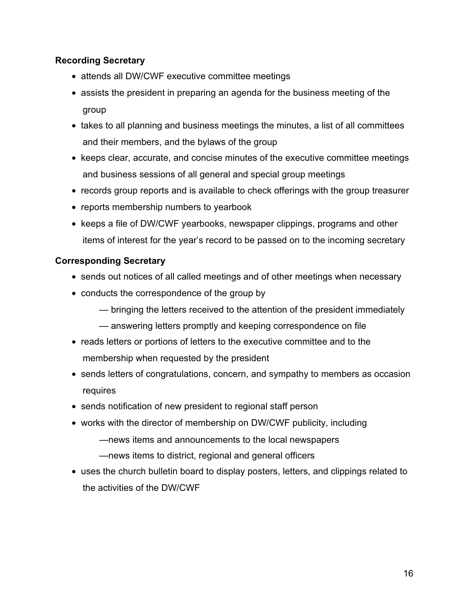# <span id="page-15-0"></span>**Recording Secretary**

- attends all DW/CWF executive committee meetings
- assists the president in preparing an agenda for the business meeting of the group
- takes to all planning and business meetings the minutes, a list of all committees and their members, and the bylaws of the group
- keeps clear, accurate, and concise minutes of the executive committee meetings and business sessions of all general and special group meetings
- records group reports and is available to check offerings with the group treasurer
- reports membership numbers to yearbook
- keeps a file of DW/CWF yearbooks, newspaper clippings, programs and other items of interest for the year's record to be passed on to the incoming secretary

### **Corresponding Secretary**

- sends out notices of all called meetings and of other meetings when necessary
- conducts the correspondence of the group by
	- bringing the letters received to the attention of the president immediately
	- answering letters promptly and keeping correspondence on file
- reads letters or portions of letters to the executive committee and to the membership when requested by the president
- sends letters of congratulations, concern, and sympathy to members as occasion requires
- sends notification of new president to regional staff person
- works with the director of membership on DW/CWF publicity, including
	- —news items and announcements to the local newspapers
	- —news items to district, regional and general officers
- uses the church bulletin board to display posters, letters, and clippings related to the activities of the DW/CWF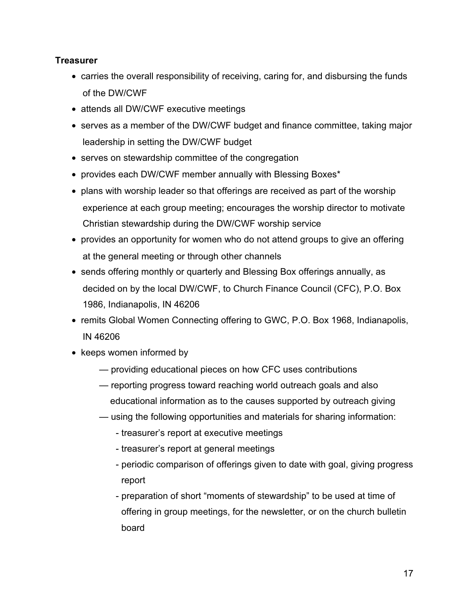# <span id="page-16-0"></span>**Treasurer**

- carries the overall responsibility of receiving, caring for, and disbursing the funds of the DW/CWF
- attends all DW/CWF executive meetings
- serves as a member of the DW/CWF budget and finance committee, taking major leadership in setting the DW/CWF budget
- serves on stewardship committee of the congregation
- provides each DW/CWF member annually with Blessing Boxes\*
- plans with worship leader so that offerings are received as part of the worship experience at each group meeting; encourages the worship director to motivate Christian stewardship during the DW/CWF worship service
- provides an opportunity for women who do not attend groups to give an offering at the general meeting or through other channels
- sends offering monthly or quarterly and Blessing Box offerings annually, as decided on by the local DW/CWF, to Church Finance Council (CFC), P.O. Box 1986, Indianapolis, IN 46206
- remits Global Women Connecting offering to GWC, P.O. Box 1968, Indianapolis, IN 46206
- keeps women informed by
	- providing educational pieces on how CFC uses contributions
	- reporting progress toward reaching world outreach goals and also educational information as to the causes supported by outreach giving
	- using the following opportunities and materials for sharing information:
		- treasurer's report at executive meetings
		- treasurer's report at general meetings
		- periodic comparison of offerings given to date with goal, giving progress report
		- preparation of short "moments of stewardship" to be used at time of offering in group meetings, for the newsletter, or on the church bulletin board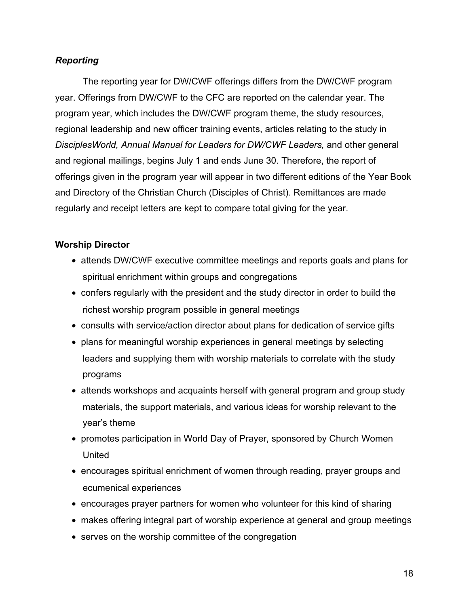# <span id="page-17-0"></span>*Reporting*

The reporting year for DW/CWF offerings differs from the DW/CWF program year. Offerings from DW/CWF to the CFC are reported on the calendar year. The program year, which includes the DW/CWF program theme, the study resources, regional leadership and new officer training events, articles relating to the study in *DisciplesWorld, Annual Manual for Leaders for DW/CWF Leaders,* and other general and regional mailings, begins July 1 and ends June 30. Therefore, the report of offerings given in the program year will appear in two different editions of the Year Book and Directory of the Christian Church (Disciples of Christ). Remittances are made regularly and receipt letters are kept to compare total giving for the year.

### **Worship Director**

- attends DW/CWF executive committee meetings and reports goals and plans for spiritual enrichment within groups and congregations
- confers regularly with the president and the study director in order to build the richest worship program possible in general meetings
- consults with service/action director about plans for dedication of service gifts
- plans for meaningful worship experiences in general meetings by selecting leaders and supplying them with worship materials to correlate with the study programs
- attends workshops and acquaints herself with general program and group study materials, the support materials, and various ideas for worship relevant to the year's theme
- promotes participation in World Day of Prayer, sponsored by Church Women United
- encourages spiritual enrichment of women through reading, prayer groups and ecumenical experiences
- encourages prayer partners for women who volunteer for this kind of sharing
- makes offering integral part of worship experience at general and group meetings
- serves on the worship committee of the congregation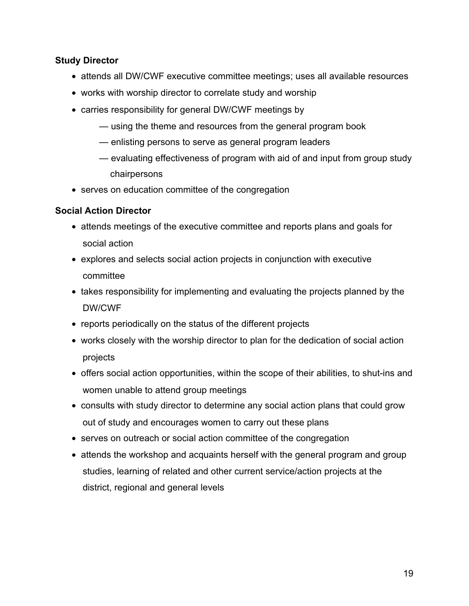# <span id="page-18-0"></span>**Study Director**

- attends all DW/CWF executive committee meetings; uses all available resources
- works with worship director to correlate study and worship
- carries responsibility for general DW/CWF meetings by
	- using the theme and resources from the general program book
	- enlisting persons to serve as general program leaders
	- evaluating effectiveness of program with aid of and input from group study chairpersons
- serves on education committee of the congregation

### **Social Action Director**

- attends meetings of the executive committee and reports plans and goals for social action
- explores and selects social action projects in conjunction with executive committee
- takes responsibility for implementing and evaluating the projects planned by the DW/CWF
- reports periodically on the status of the different projects
- works closely with the worship director to plan for the dedication of social action projects
- offers social action opportunities, within the scope of their abilities, to shut-ins and women unable to attend group meetings
- consults with study director to determine any social action plans that could grow out of study and encourages women to carry out these plans
- serves on outreach or social action committee of the congregation
- attends the workshop and acquaints herself with the general program and group studies, learning of related and other current service/action projects at the district, regional and general levels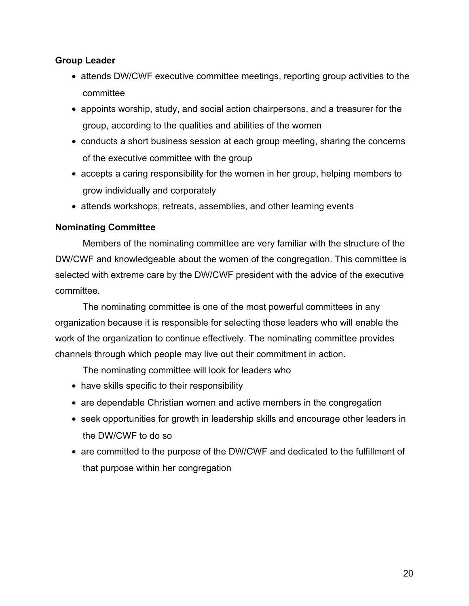#### <span id="page-19-0"></span>**Group Leader**

- attends DW/CWF executive committee meetings, reporting group activities to the committee
- appoints worship, study, and social action chairpersons, and a treasurer for the group, according to the qualities and abilities of the women
- conducts a short business session at each group meeting, sharing the concerns of the executive committee with the group
- accepts a caring responsibility for the women in her group, helping members to grow individually and corporately
- attends workshops, retreats, assemblies, and other learning events

### **Nominating Committee**

Members of the nominating committee are very familiar with the structure of the DW/CWF and knowledgeable about the women of the congregation. This committee is selected with extreme care by the DW/CWF president with the advice of the executive committee.

The nominating committee is one of the most powerful committees in any organization because it is responsible for selecting those leaders who will enable the work of the organization to continue effectively. The nominating committee provides channels through which people may live out their commitment in action.

The nominating committee will look for leaders who

- have skills specific to their responsibility
- are dependable Christian women and active members in the congregation
- seek opportunities for growth in leadership skills and encourage other leaders in the DW/CWF to do so
- are committed to the purpose of the DW/CWF and dedicated to the fulfillment of that purpose within her congregation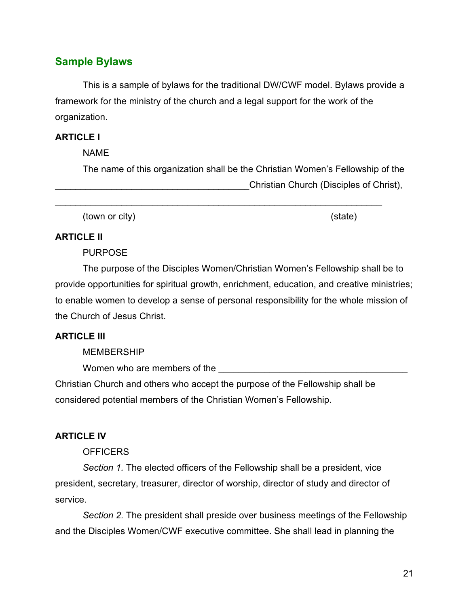# <span id="page-20-0"></span>**Sample Bylaws**

This is a sample of bylaws for the traditional DW/CWF model. Bylaws provide a framework for the ministry of the church and a legal support for the work of the organization.

### **ARTICLE I**

NAME

The name of this organization shall be the Christian Women's Fellowship of the \_\_\_\_\_\_\_\_\_\_\_\_\_\_\_\_\_\_\_\_\_\_\_\_\_\_\_\_\_\_\_\_\_\_\_\_\_\_Christian Church (Disciples of Christ),

\_\_\_\_\_\_\_\_\_\_\_\_\_\_\_\_\_\_\_\_\_\_\_\_\_\_\_\_\_\_\_\_\_\_\_\_\_\_\_\_\_\_\_\_\_\_\_\_\_\_\_\_\_\_\_\_\_\_\_\_\_\_\_\_

(town or city) (state)

#### **ARTICLE II**

PURPOSE

The purpose of the Disciples Women/Christian Women's Fellowship shall be to provide opportunities for spiritual growth, enrichment, education, and creative ministries; to enable women to develop a sense of personal responsibility for the whole mission of the Church of Jesus Christ.

### **ARTICLE III**

#### MEMBERSHIP

Women who are members of the

Christian Church and others who accept the purpose of the Fellowship shall be considered potential members of the Christian Women's Fellowship.

#### **ARTICLE IV**

#### **OFFICERS**

*Section 1.* The elected officers of the Fellowship shall be a president, vice president, secretary, treasurer, director of worship, director of study and director of service.

*Section 2.* The president shall preside over business meetings of the Fellowship and the Disciples Women/CWF executive committee. She shall lead in planning the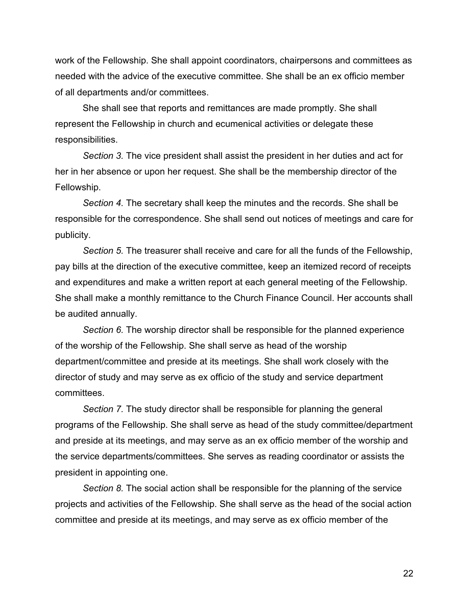work of the Fellowship. She shall appoint coordinators, chairpersons and committees as needed with the advice of the executive committee. She shall be an ex officio member of all departments and/or committees.

She shall see that reports and remittances are made promptly. She shall represent the Fellowship in church and ecumenical activities or delegate these responsibilities.

*Section 3.* The vice president shall assist the president in her duties and act for her in her absence or upon her request. She shall be the membership director of the Fellowship.

*Section 4.* The secretary shall keep the minutes and the records. She shall be responsible for the correspondence. She shall send out notices of meetings and care for publicity.

*Section 5.* The treasurer shall receive and care for all the funds of the Fellowship, pay bills at the direction of the executive committee, keep an itemized record of receipts and expenditures and make a written report at each general meeting of the Fellowship. She shall make a monthly remittance to the Church Finance Council. Her accounts shall be audited annually.

*Section 6.* The worship director shall be responsible for the planned experience of the worship of the Fellowship. She shall serve as head of the worship department/committee and preside at its meetings. She shall work closely with the director of study and may serve as ex officio of the study and service department committees.

*Section 7.* The study director shall be responsible for planning the general programs of the Fellowship. She shall serve as head of the study committee/department and preside at its meetings, and may serve as an ex officio member of the worship and the service departments/committees. She serves as reading coordinator or assists the president in appointing one.

*Section 8.* The social action shall be responsible for the planning of the service projects and activities of the Fellowship. She shall serve as the head of the social action committee and preside at its meetings, and may serve as ex officio member of the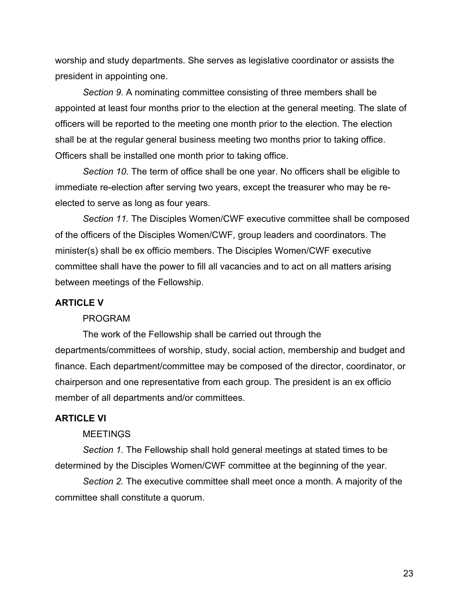worship and study departments. She serves as legislative coordinator or assists the president in appointing one.

*Section 9.* A nominating committee consisting of three members shall be appointed at least four months prior to the election at the general meeting. The slate of officers will be reported to the meeting one month prior to the election. The election shall be at the regular general business meeting two months prior to taking office. Officers shall be installed one month prior to taking office.

*Section 10.* The term of office shall be one year. No officers shall be eligible to immediate re-election after serving two years, except the treasurer who may be reelected to serve as long as four years.

*Section 11.* The Disciples Women/CWF executive committee shall be composed of the officers of the Disciples Women/CWF, group leaders and coordinators. The minister(s) shall be ex officio members. The Disciples Women/CWF executive committee shall have the power to fill all vacancies and to act on all matters arising between meetings of the Fellowship.

#### **ARTICLE V**

#### PROGRAM

The work of the Fellowship shall be carried out through the departments/committees of worship, study, social action, membership and budget and finance. Each department/committee may be composed of the director, coordinator, or chairperson and one representative from each group. The president is an ex officio member of all departments and/or committees.

#### **ARTICLE VI**

#### **MEETINGS**

*Section 1.* The Fellowship shall hold general meetings at stated times to be determined by the Disciples Women/CWF committee at the beginning of the year.

*Section 2.* The executive committee shall meet once a month. A majority of the committee shall constitute a quorum.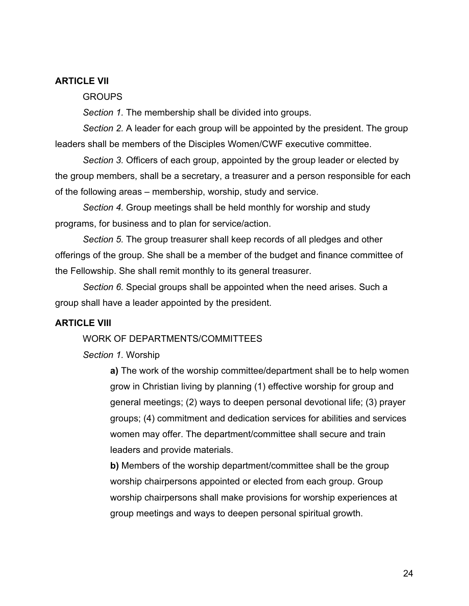#### **ARTICLE VII**

#### GROUPS

*Section 1.* The membership shall be divided into groups.

*Section 2.* A leader for each group will be appointed by the president. The group leaders shall be members of the Disciples Women/CWF executive committee.

*Section 3.* Officers of each group, appointed by the group leader or elected by the group members, shall be a secretary, a treasurer and a person responsible for each of the following areas – membership, worship, study and service.

*Section 4.* Group meetings shall be held monthly for worship and study programs, for business and to plan for service/action.

*Section 5.* The group treasurer shall keep records of all pledges and other offerings of the group. She shall be a member of the budget and finance committee of the Fellowship. She shall remit monthly to its general treasurer.

*Section 6.* Special groups shall be appointed when the need arises. Such a group shall have a leader appointed by the president.

#### **ARTICLE VIII**

#### WORK OF DEPARTMENTS/COMMITTEES

*Section 1.* Worship

**a)** The work of the worship committee/department shall be to help women grow in Christian living by planning (1) effective worship for group and general meetings; (2) ways to deepen personal devotional life; (3) prayer groups; (4) commitment and dedication services for abilities and services women may offer. The department/committee shall secure and train leaders and provide materials.

**b)** Members of the worship department/committee shall be the group worship chairpersons appointed or elected from each group. Group worship chairpersons shall make provisions for worship experiences at group meetings and ways to deepen personal spiritual growth.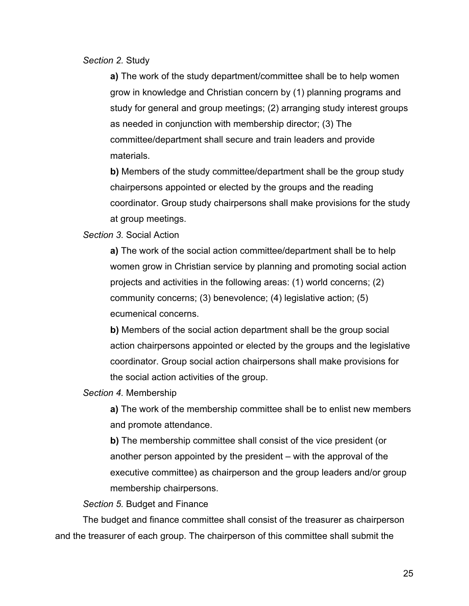*Section 2.* Study

**a)** The work of the study department/committee shall be to help women grow in knowledge and Christian concern by (1) planning programs and study for general and group meetings; (2) arranging study interest groups as needed in conjunction with membership director; (3) The committee/department shall secure and train leaders and provide materials.

**b)** Members of the study committee/department shall be the group study chairpersons appointed or elected by the groups and the reading coordinator. Group study chairpersons shall make provisions for the study at group meetings.

*Section 3.* Social Action

**a)** The work of the social action committee/department shall be to help women grow in Christian service by planning and promoting social action projects and activities in the following areas: (1) world concerns; (2) community concerns; (3) benevolence; (4) legislative action; (5) ecumenical concerns.

**b)** Members of the social action department shall be the group social action chairpersons appointed or elected by the groups and the legislative coordinator. Group social action chairpersons shall make provisions for the social action activities of the group.

*Section 4.* Membership

**a)** The work of the membership committee shall be to enlist new members and promote attendance.

**b)** The membership committee shall consist of the vice president (or another person appointed by the president – with the approval of the executive committee) as chairperson and the group leaders and/or group membership chairpersons.

*Section 5.* Budget and Finance

The budget and finance committee shall consist of the treasurer as chairperson and the treasurer of each group. The chairperson of this committee shall submit the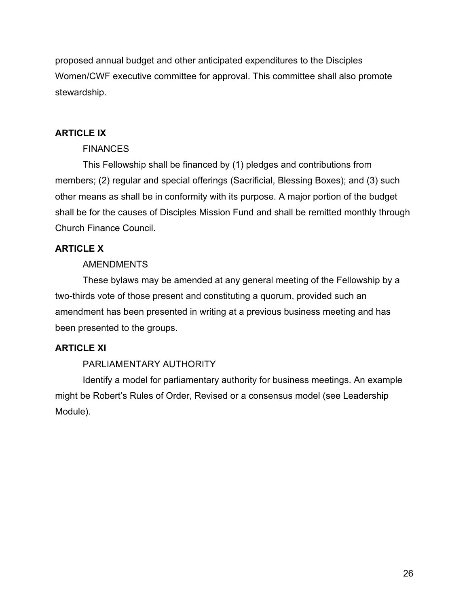proposed annual budget and other anticipated expenditures to the Disciples Women/CWF executive committee for approval. This committee shall also promote stewardship.

# **ARTICLE IX**

# **FINANCES**

This Fellowship shall be financed by (1) pledges and contributions from members; (2) regular and special offerings (Sacrificial, Blessing Boxes); and (3) such other means as shall be in conformity with its purpose. A major portion of the budget shall be for the causes of Disciples Mission Fund and shall be remitted monthly through Church Finance Council.

# **ARTICLE X**

# **AMENDMENTS**

These bylaws may be amended at any general meeting of the Fellowship by a two-thirds vote of those present and constituting a quorum, provided such an amendment has been presented in writing at a previous business meeting and has been presented to the groups.

# **ARTICLE XI**

# PARLIAMENTARY AUTHORITY

Identify a model for parliamentary authority for business meetings. An example might be Robert's Rules of Order, Revised or a consensus model (see Leadership Module).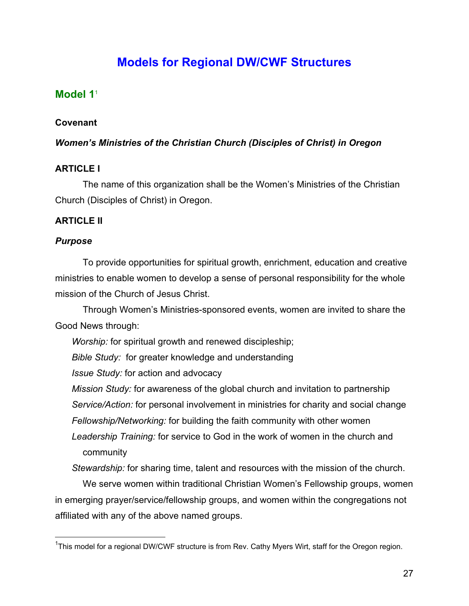# **Models for Regional DW/CWF Structures**

# <span id="page-26-0"></span>**Model 1**<sup>1</sup>

# **Covenant**

# *Women's Ministries of the Christian Church (Disciples of Christ) in Oregon*

# **ARTICLE I**

The name of this organization shall be the Women's Ministries of the Christian Church (Disciples of Christ) in Oregon.

# **ARTICLE II**

# *Purpose*

To provide opportunities for spiritual growth, enrichment, education and creative ministries to enable women to develop a sense of personal responsibility for the whole mission of the Church of Jesus Christ.

Through Women's Ministries-sponsored events, women are invited to share the Good News through:

*Worship:* for spiritual growth and renewed discipleship;

*Bible Study:* for greater knowledge and understanding

*Issue Study:* for action and advocacy

*Mission Study:* for awareness of the global church and invitation to partnership *Service/Action:* for personal involvement in ministries for charity and social change *Fellowship/Networking:* for building the faith community with other women

*Leadership Training:* for service to God in the work of women in the church and community

*Stewardship:* for sharing time, talent and resources with the mission of the church.

We serve women within traditional Christian Women's Fellowship groups, women in emerging prayer/service/fellowship groups, and women within the congregations not affiliated with any of the above named groups.

 <sup>1</sup> This model for a regional DW/CWF structure is from Rev. Cathy Myers Wirt, staff for the Oregon region.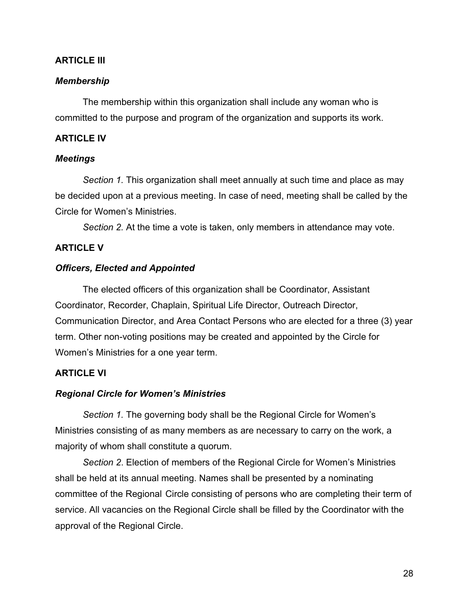#### **ARTICLE III**

#### *Membership*

The membership within this organization shall include any woman who is committed to the purpose and program of the organization and supports its work.

#### **ARTICLE IV**

#### *Meetings*

*Section 1.* This organization shall meet annually at such time and place as may be decided upon at a previous meeting. In case of need, meeting shall be called by the Circle for Women's Ministries.

*Section 2.* At the time a vote is taken, only members in attendance may vote.

#### **ARTICLE V**

#### *Officers, Elected and Appointed*

The elected officers of this organization shall be Coordinator, Assistant Coordinator, Recorder, Chaplain, Spiritual Life Director, Outreach Director, Communication Director, and Area Contact Persons who are elected for a three (3) year term. Other non-voting positions may be created and appointed by the Circle for Women's Ministries for a one year term.

#### **ARTICLE VI**

#### *Regional Circle for Women's Ministries*

*Section 1.* The governing body shall be the Regional Circle for Women's Ministries consisting of as many members as are necessary to carry on the work, a majority of whom shall constitute a quorum.

*Section 2*. Election of members of the Regional Circle for Women's Ministries shall be held at its annual meeting. Names shall be presented by a nominating committee of the Regional Circle consisting of persons who are completing their term of service. All vacancies on the Regional Circle shall be filled by the Coordinator with the approval of the Regional Circle.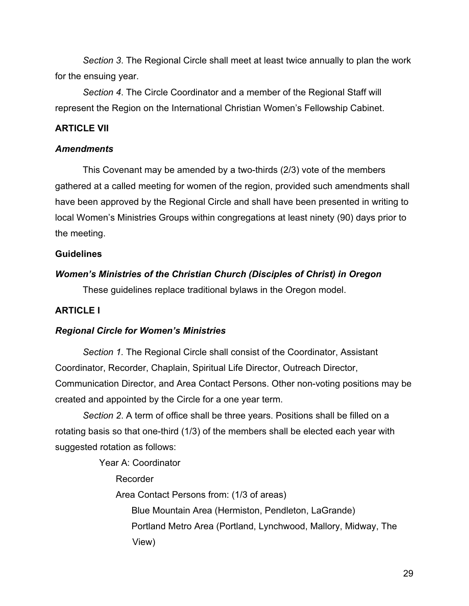<span id="page-28-0"></span>*Section 3*. The Regional Circle shall meet at least twice annually to plan the work for the ensuing year.

*Section 4*. The Circle Coordinator and a member of the Regional Staff will represent the Region on the International Christian Women's Fellowship Cabinet.

### **ARTICLE VII**

#### *Amendments*

This Covenant may be amended by a two-thirds (2/3) vote of the members gathered at a called meeting for women of the region, provided such amendments shall have been approved by the Regional Circle and shall have been presented in writing to local Women's Ministries Groups within congregations at least ninety (90) days prior to the meeting.

### **Guidelines**

### *Women's Ministries of the Christian Church (Disciples of Christ) in Oregon*

These guidelines replace traditional bylaws in the Oregon model.

# **ARTICLE I**

# *Regional Circle for Women's Ministries*

*Section 1.* The Regional Circle shall consist of the Coordinator, Assistant Coordinator, Recorder, Chaplain, Spiritual Life Director, Outreach Director, Communication Director, and Area Contact Persons. Other non-voting positions may be created and appointed by the Circle for a one year term.

*Section 2*. A term of office shall be three years. Positions shall be filled on a rotating basis so that one-third (1/3) of the members shall be elected each year with suggested rotation as follows:

Year A: Coordinator

Recorder

Area Contact Persons from: (1/3 of areas)

Blue Mountain Area (Hermiston, Pendleton, LaGrande)

 Portland Metro Area (Portland, Lynchwood, Mallory, Midway, The View)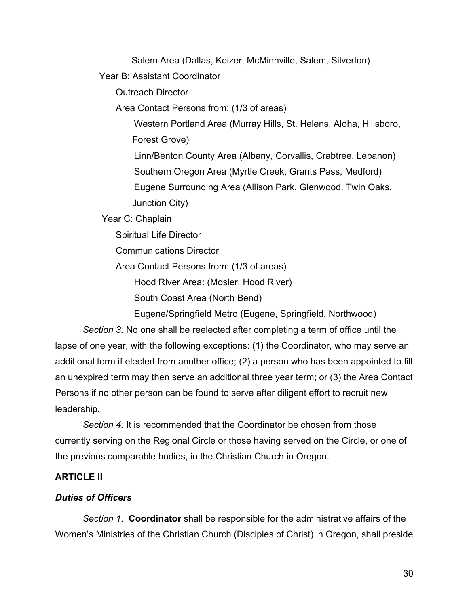Salem Area (Dallas, Keizer, McMinnville, Salem, Silverton)

Year B: Assistant Coordinator

Outreach Director

Area Contact Persons from: (1/3 of areas)

 Western Portland Area (Murray Hills, St. Helens, Aloha, Hillsboro, Forest Grove)

 Linn/Benton County Area (Albany, Corvallis, Crabtree, Lebanon) Southern Oregon Area (Myrtle Creek, Grants Pass, Medford) Eugene Surrounding Area (Allison Park, Glenwood, Twin Oaks, Junction City)

Year C: Chaplain

Spiritual Life Director

Communications Director

Area Contact Persons from: (1/3 of areas)

Hood River Area: (Mosier, Hood River)

South Coast Area (North Bend)

Eugene/Springfield Metro (Eugene, Springfield, Northwood)

*Section 3:* No one shall be reelected after completing a term of office until the lapse of one year, with the following exceptions: (1) the Coordinator, who may serve an additional term if elected from another office; (2) a person who has been appointed to fill an unexpired term may then serve an additional three year term; or (3) the Area Contact Persons if no other person can be found to serve after diligent effort to recruit new leadership.

*Section 4:* It is recommended that the Coordinator be chosen from those currently serving on the Regional Circle or those having served on the Circle, or one of the previous comparable bodies, in the Christian Church in Oregon.

# **ARTICLE II**

# *Duties of Officers*

*Section 1.* **Coordinator** shall be responsible for the administrative affairs of the Women's Ministries of the Christian Church (Disciples of Christ) in Oregon, shall preside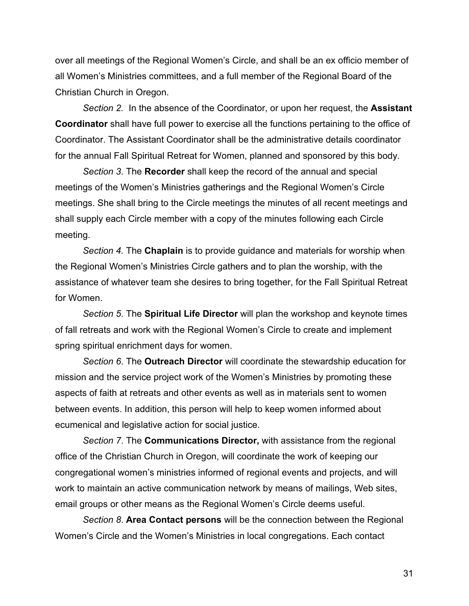over all meetings of the Regional Women's Circle, and shall be an ex officio member of all Women's Ministries committees, and a full member of the Regional Board of the Christian Church in Oregon.

*Section 2.* In the absence of the Coordinator, or upon her request, the **Assistant Coordinator** shall have full power to exercise all the functions pertaining to the office of Coordinator. The Assistant Coordinator shall be the administrative details coordinator for the annual Fall Spiritual Retreat for Women, planned and sponsored by this body.

*Section 3.* The **Recorder** shall keep the record of the annual and special meetings of the Women's Ministries gatherings and the Regional Women's Circle meetings. She shall bring to the Circle meetings the minutes of all recent meetings and shall supply each Circle member with a copy of the minutes following each Circle meeting.

*Section 4.* The **Chaplain** is to provide guidance and materials for worship when the Regional Women's Ministries Circle gathers and to plan the worship, with the assistance of whatever team she desires to bring together, for the Fall Spiritual Retreat for Women.

*Section 5*. The **Spiritual Life Director** will plan the workshop and keynote times of fall retreats and work with the Regional Women's Circle to create and implement spring spiritual enrichment days for women.

*Section 6*. The **Outreach Director** will coordinate the stewardship education for mission and the service project work of the Women's Ministries by promoting these aspects of faith at retreats and other events as well as in materials sent to women between events. In addition, this person will help to keep women informed about ecumenical and legislative action for social justice.

*Section 7*. The **Communications Director,** with assistance from the regional office of the Christian Church in Oregon, will coordinate the work of keeping our congregational women's ministries informed of regional events and projects, and will work to maintain an active communication network by means of mailings, Web sites, email groups or other means as the Regional Women's Circle deems useful.

*Section 8*. **Area Contact persons** will be the connection between the Regional Women's Circle and the Women's Ministries in local congregations. Each contact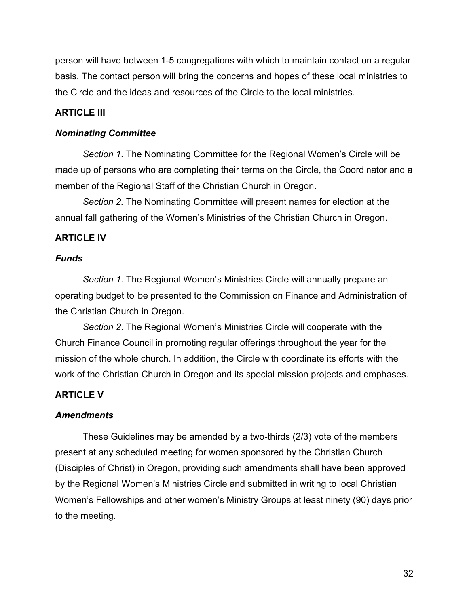person will have between 1-5 congregations with which to maintain contact on a regular basis. The contact person will bring the concerns and hopes of these local ministries to the Circle and the ideas and resources of the Circle to the local ministries.

### **ARTICLE III**

#### *Nominating Committee*

*Section 1.* The Nominating Committee for the Regional Women's Circle will be made up of persons who are completing their terms on the Circle, the Coordinator and a member of the Regional Staff of the Christian Church in Oregon.

*Section 2.* The Nominating Committee will present names for election at the annual fall gathering of the Women's Ministries of the Christian Church in Oregon.

#### **ARTICLE IV**

#### *Funds*

*Section 1*. The Regional Women's Ministries Circle will annually prepare an operating budget to be presented to the Commission on Finance and Administration of the Christian Church in Oregon.

*Section 2*. The Regional Women's Ministries Circle will cooperate with the Church Finance Council in promoting regular offerings throughout the year for the mission of the whole church. In addition, the Circle with coordinate its efforts with the work of the Christian Church in Oregon and its special mission projects and emphases.

#### **ARTICLE V**

#### *Amendments*

These Guidelines may be amended by a two-thirds (2/3) vote of the members present at any scheduled meeting for women sponsored by the Christian Church (Disciples of Christ) in Oregon, providing such amendments shall have been approved by the Regional Women's Ministries Circle and submitted in writing to local Christian Women's Fellowships and other women's Ministry Groups at least ninety (90) days prior to the meeting.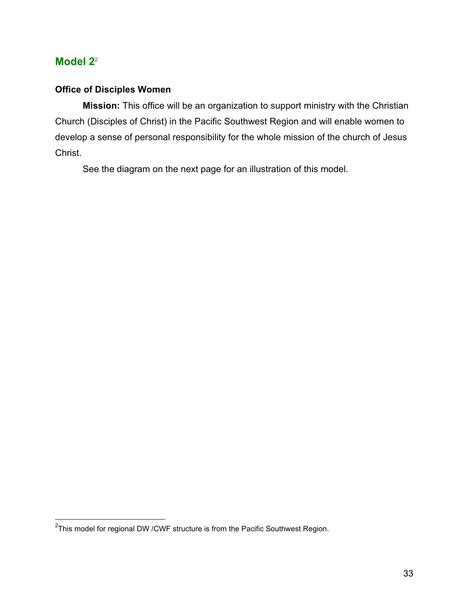# <span id="page-32-0"></span>**Model 2**<sup>2</sup>

# **Office of Disciples Women**

**Mission:** This office will be an organization to support ministry with the Christian Church (Disciples of Christ) in the Pacific Southwest Region and will enable women to develop a sense of personal responsibility for the whole mission of the church of Jesus Christ.

See the diagram on the next page for an illustration of this model.

 <sup>2</sup> This model for regional DW /CWF structure is from the Pacific Southwest Region.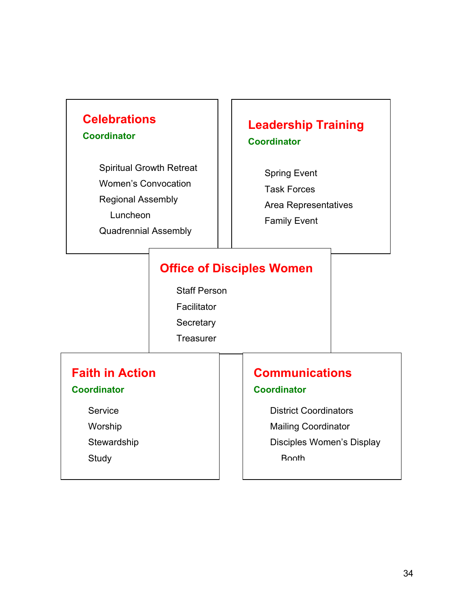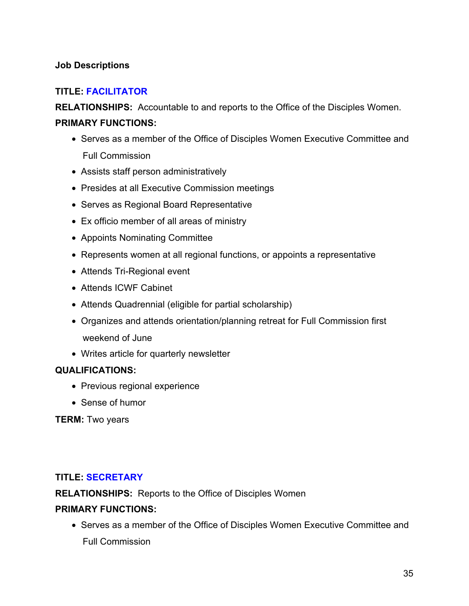# <span id="page-34-0"></span>**Job Descriptions**

# **TITLE: FACILITATOR**

**RELATIONSHIPS:** Accountable to and reports to the Office of the Disciples Women. **PRIMARY FUNCTIONS:**

- Serves as a member of the Office of Disciples Women Executive Committee and Full Commission
- Assists staff person administratively
- Presides at all Executive Commission meetings
- Serves as Regional Board Representative
- Ex officio member of all areas of ministry
- Appoints Nominating Committee
- Represents women at all regional functions, or appoints a representative
- Attends Tri-Regional event
- Attends ICWF Cabinet
- Attends Quadrennial (eligible for partial scholarship)
- Organizes and attends orientation/planning retreat for Full Commission first weekend of June
- Writes article for quarterly newsletter

# **QUALIFICATIONS:**

- Previous regional experience
- Sense of humor

**TERM:** Two years

#### **TITLE: SECRETARY**

**RELATIONSHIPS:** Reports to the Office of Disciples Women

#### **PRIMARY FUNCTIONS:**

• Serves as a member of the Office of Disciples Women Executive Committee and Full Commission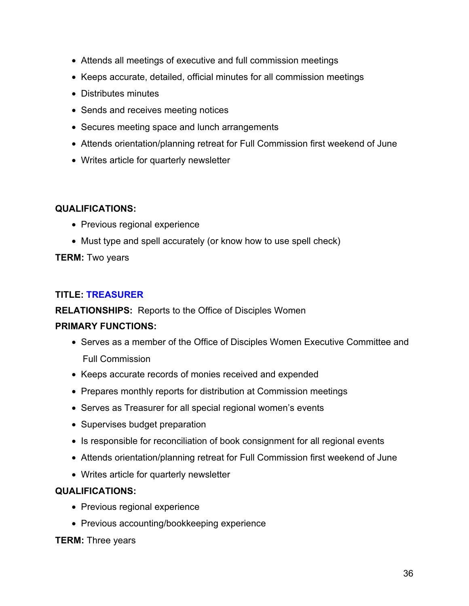- Attends all meetings of executive and full commission meetings
- Keeps accurate, detailed, official minutes for all commission meetings
- Distributes minutes
- Sends and receives meeting notices
- Secures meeting space and lunch arrangements
- Attends orientation/planning retreat for Full Commission first weekend of June
- Writes article for quarterly newsletter

- Previous regional experience
- Must type and spell accurately (or know how to use spell check)

# **TERM:** Two years

# **TITLE: TREASURER**

**RELATIONSHIPS:** Reports to the Office of Disciples Women

# **PRIMARY FUNCTIONS:**

- Serves as a member of the Office of Disciples Women Executive Committee and Full Commission
- Keeps accurate records of monies received and expended
- Prepares monthly reports for distribution at Commission meetings
- Serves as Treasurer for all special regional women's events
- Supervises budget preparation
- Is responsible for reconciliation of book consignment for all regional events
- Attends orientation/planning retreat for Full Commission first weekend of June
- Writes article for quarterly newsletter

# **QUALIFICATIONS:**

- Previous regional experience
- Previous accounting/bookkeeping experience

# **TERM:** Three years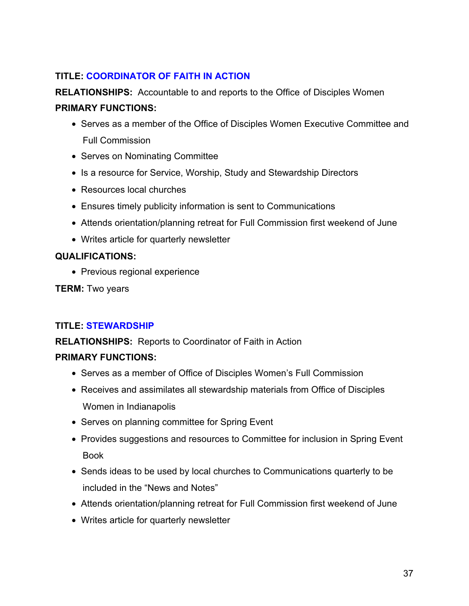# **TITLE: COORDINATOR OF FAITH IN ACTION**

**RELATIONSHIPS:** Accountable to and reports to the Office of Disciples Women **PRIMARY FUNCTIONS:**

- Serves as a member of the Office of Disciples Women Executive Committee and Full Commission
- Serves on Nominating Committee
- Is a resource for Service, Worship, Study and Stewardship Directors
- Resources local churches
- Ensures timely publicity information is sent to Communications
- Attends orientation/planning retreat for Full Commission first weekend of June
- Writes article for quarterly newsletter

# **QUALIFICATIONS:**

• Previous regional experience

**TERM:** Two years

# **TITLE: STEWARDSHIP**

**RELATIONSHIPS:** Reports to Coordinator of Faith in Action

- Serves as a member of Office of Disciples Women's Full Commission
- Receives and assimilates all stewardship materials from Office of Disciples Women in Indianapolis
- Serves on planning committee for Spring Event
- Provides suggestions and resources to Committee for inclusion in Spring Event Book
- Sends ideas to be used by local churches to Communications quarterly to be included in the "News and Notes"
- Attends orientation/planning retreat for Full Commission first weekend of June
- Writes article for quarterly newsletter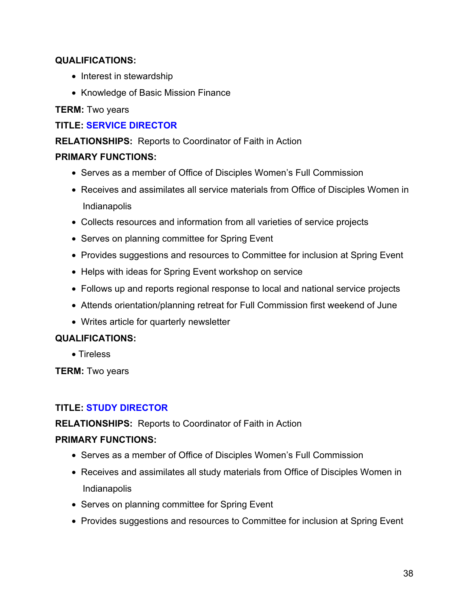- Interest in stewardship
- Knowledge of Basic Mission Finance

# **TERM:** Two years

# **TITLE: SERVICE DIRECTOR**

# **RELATIONSHIPS:** Reports to Coordinator of Faith in Action

### **PRIMARY FUNCTIONS:**

- Serves as a member of Office of Disciples Women's Full Commission
- Receives and assimilates all service materials from Office of Disciples Women in Indianapolis
- Collects resources and information from all varieties of service projects
- Serves on planning committee for Spring Event
- Provides suggestions and resources to Committee for inclusion at Spring Event
- Helps with ideas for Spring Event workshop on service
- Follows up and reports regional response to local and national service projects
- Attends orientation/planning retreat for Full Commission first weekend of June
- Writes article for quarterly newsletter

#### **QUALIFICATIONS:**

• Tireless

**TERM:** Two years

# **TITLE: STUDY DIRECTOR**

#### **RELATIONSHIPS:** Reports to Coordinator of Faith in Action

- Serves as a member of Office of Disciples Women's Full Commission
- Receives and assimilates all study materials from Office of Disciples Women in Indianapolis
- Serves on planning committee for Spring Event
- Provides suggestions and resources to Committee for inclusion at Spring Event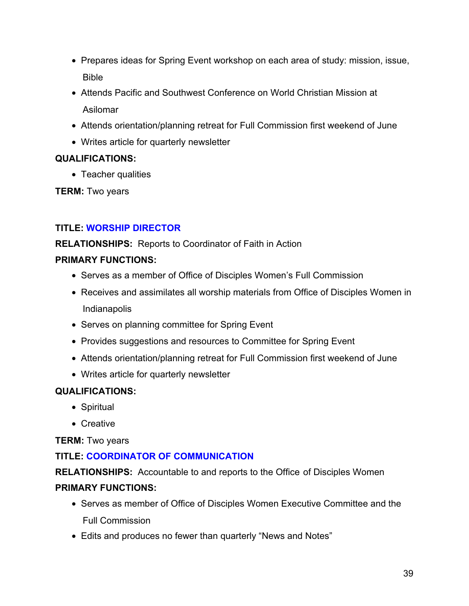- Prepares ideas for Spring Event workshop on each area of study: mission, issue, Bible
- Attends Pacific and Southwest Conference on World Christian Mission at Asilomar
- Attends orientation/planning retreat for Full Commission first weekend of June
- Writes article for quarterly newsletter

• Teacher qualities

**TERM:** Two years

# **TITLE: WORSHIP DIRECTOR**

**RELATIONSHIPS:** Reports to Coordinator of Faith in Action

# **PRIMARY FUNCTIONS:**

- Serves as a member of Office of Disciples Women's Full Commission
- Receives and assimilates all worship materials from Office of Disciples Women in Indianapolis
- Serves on planning committee for Spring Event
- Provides suggestions and resources to Committee for Spring Event
- Attends orientation/planning retreat for Full Commission first weekend of June
- Writes article for quarterly newsletter

# **QUALIFICATIONS:**

- Spiritual
- Creative

**TERM:** Two years

# **TITLE: COORDINATOR OF COMMUNICATION**

**RELATIONSHIPS:** Accountable to and reports to the Office of Disciples Women

- Serves as member of Office of Disciples Women Executive Committee and the Full Commission
- Edits and produces no fewer than quarterly "News and Notes"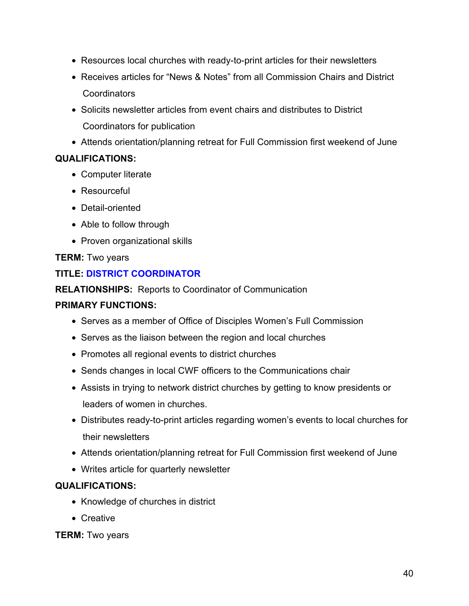- Resources local churches with ready-to-print articles for their newsletters
- Receives articles for "News & Notes" from all Commission Chairs and District **Coordinators**
- Solicits newsletter articles from event chairs and distributes to District Coordinators for publication
- Attends orientation/planning retreat for Full Commission first weekend of June

- Computer literate
- Resourceful
- Detail-oriented
- Able to follow through
- Proven organizational skills

# **TERM:** Two years

# **TITLE: DISTRICT COORDINATOR**

**RELATIONSHIPS:** Reports to Coordinator of Communication

# **PRIMARY FUNCTIONS:**

- Serves as a member of Office of Disciples Women's Full Commission
- Serves as the liaison between the region and local churches
- Promotes all regional events to district churches
- Sends changes in local CWF officers to the Communications chair
- Assists in trying to network district churches by getting to know presidents or leaders of women in churches.
- Distributes ready-to-print articles regarding women's events to local churches for their newsletters
- Attends orientation/planning retreat for Full Commission first weekend of June
- Writes article for quarterly newsletter

# **QUALIFICATIONS:**

- Knowledge of churches in district
- Creative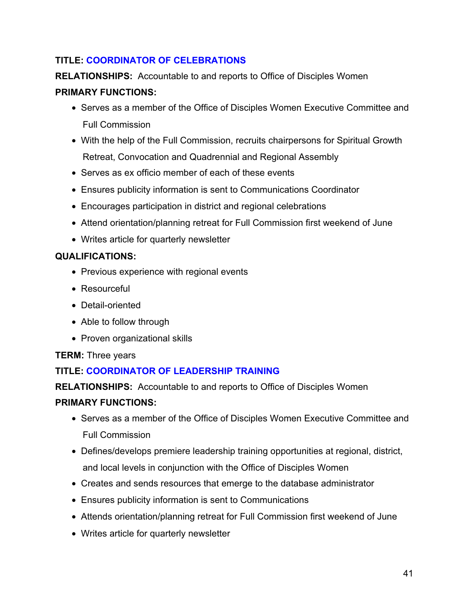# **TITLE: COORDINATOR OF CELEBRATIONS**

**RELATIONSHIPS:** Accountable to and reports to Office of Disciples Women

# **PRIMARY FUNCTIONS:**

- Serves as a member of the Office of Disciples Women Executive Committee and Full Commission
- With the help of the Full Commission, recruits chairpersons for Spiritual Growth Retreat, Convocation and Quadrennial and Regional Assembly
- Serves as ex officio member of each of these events
- Ensures publicity information is sent to Communications Coordinator
- Encourages participation in district and regional celebrations
- Attend orientation/planning retreat for Full Commission first weekend of June
- Writes article for quarterly newsletter

# **QUALIFICATIONS:**

- Previous experience with regional events
- Resourceful
- Detail-oriented
- Able to follow through
- Proven organizational skills

# **TERM:** Three years

# **TITLE: COORDINATOR OF LEADERSHIP TRAINING**

**RELATIONSHIPS:** Accountable to and reports to Office of Disciples Women

- Serves as a member of the Office of Disciples Women Executive Committee and Full Commission
- Defines/develops premiere leadership training opportunities at regional, district, and local levels in conjunction with the Office of Disciples Women
- Creates and sends resources that emerge to the database administrator
- Ensures publicity information is sent to Communications
- Attends orientation/planning retreat for Full Commission first weekend of June
- Writes article for quarterly newsletter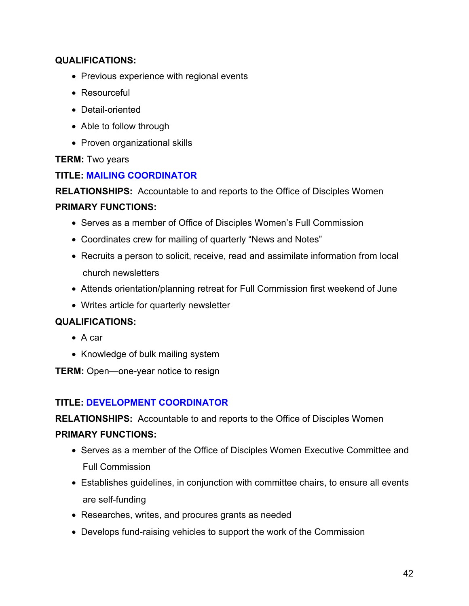- Previous experience with regional events
- Resourceful
- Detail-oriented
- Able to follow through
- Proven organizational skills

### **TERM:** Two years

# **TITLE: MAILING COORDINATOR**

**RELATIONSHIPS:** Accountable to and reports to the Office of Disciples Women

#### **PRIMARY FUNCTIONS:**

- Serves as a member of Office of Disciples Women's Full Commission
- Coordinates crew for mailing of quarterly "News and Notes"
- Recruits a person to solicit, receive, read and assimilate information from local church newsletters
- Attends orientation/planning retreat for Full Commission first weekend of June
- Writes article for quarterly newsletter

#### **QUALIFICATIONS:**

- A car
- Knowledge of bulk mailing system
- **TERM:** Open—one-year notice to resign

# **TITLE: DEVELOPMENT COORDINATOR**

**RELATIONSHIPS:** Accountable to and reports to the Office of Disciples Women

- Serves as a member of the Office of Disciples Women Executive Committee and Full Commission
- Establishes guidelines, in conjunction with committee chairs, to ensure all events are self-funding
- Researches, writes, and procures grants as needed
- Develops fund-raising vehicles to support the work of the Commission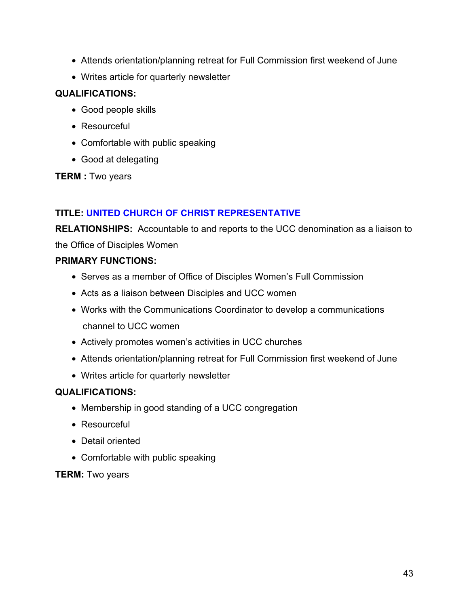- Attends orientation/planning retreat for Full Commission first weekend of June
- Writes article for quarterly newsletter

- Good people skills
- Resourceful
- Comfortable with public speaking
- Good at delegating

**TERM :** Two years

# **TITLE: UNITED CHURCH OF CHRIST REPRESENTATIVE**

**RELATIONSHIPS:** Accountable to and reports to the UCC denomination as a liaison to

the Office of Disciples Women

# **PRIMARY FUNCTIONS:**

- Serves as a member of Office of Disciples Women's Full Commission
- Acts as a liaison between Disciples and UCC women
- Works with the Communications Coordinator to develop a communications channel to UCC women
- Actively promotes women's activities in UCC churches
- Attends orientation/planning retreat for Full Commission first weekend of June
- Writes article for quarterly newsletter

# **QUALIFICATIONS:**

- Membership in good standing of a UCC congregation
- Resourceful
- Detail oriented
- Comfortable with public speaking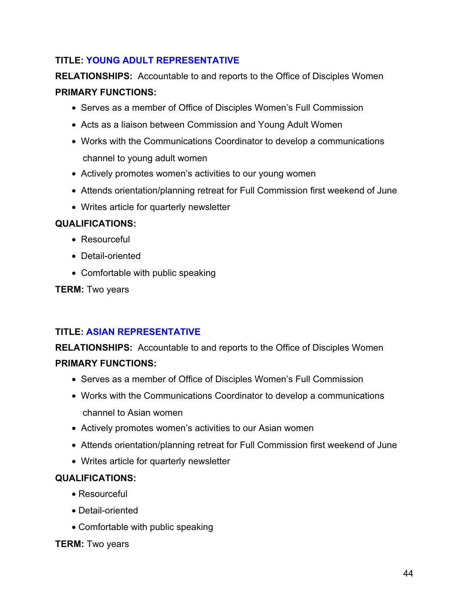# **TITLE: YOUNG ADULT REPRESENTATIVE**

**RELATIONSHIPS:** Accountable to and reports to the Office of Disciples Women **PRIMARY FUNCTIONS:**

- Serves as a member of Office of Disciples Women's Full Commission
- Acts as a liaison between Commission and Young Adult Women
- Works with the Communications Coordinator to develop a communications channel to young adult women
- Actively promotes women's activities to our young women
- Attends orientation/planning retreat for Full Commission first weekend of June
- Writes article for quarterly newsletter

### **QUALIFICATIONS:**

- Resourceful
- Detail-oriented
- Comfortable with public speaking

**TERM:** Two years

# **TITLE: ASIAN REPRESENTATIVE**

**RELATIONSHIPS:** Accountable to and reports to the Office of Disciples Women **PRIMARY FUNCTIONS:**

- Serves as a member of Office of Disciples Women's Full Commission
- Works with the Communications Coordinator to develop a communications channel to Asian women
- Actively promotes women's activities to our Asian women
- Attends orientation/planning retreat for Full Commission first weekend of June
- Writes article for quarterly newsletter

#### **QUALIFICATIONS:**

- Resourceful
- Detail-oriented
- Comfortable with public speaking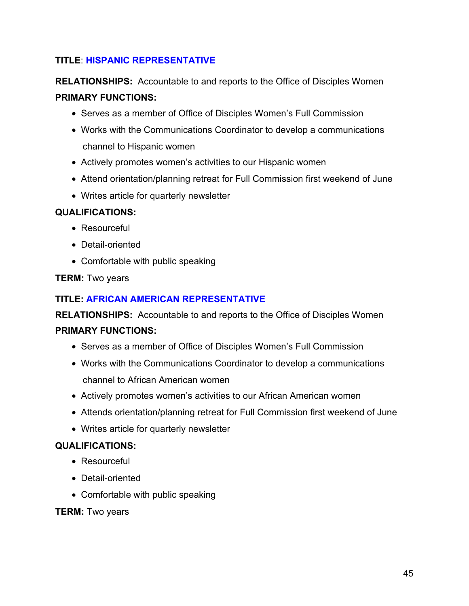# **TITLE**: **HISPANIC REPRESENTATIVE**

**RELATIONSHIPS:** Accountable to and reports to the Office of Disciples Women **PRIMARY FUNCTIONS:**

- Serves as a member of Office of Disciples Women's Full Commission
- Works with the Communications Coordinator to develop a communications channel to Hispanic women
- Actively promotes women's activities to our Hispanic women
- Attend orientation/planning retreat for Full Commission first weekend of June
- Writes article for quarterly newsletter

# **QUALIFICATIONS:**

- Resourceful
- Detail-oriented
- Comfortable with public speaking

#### **TERM:** Two years

# **TITLE: AFRICAN AMERICAN REPRESENTATIVE**

**RELATIONSHIPS:** Accountable to and reports to the Office of Disciples Women **PRIMARY FUNCTIONS:**

- Serves as a member of Office of Disciples Women's Full Commission
- Works with the Communications Coordinator to develop a communications channel to African American women
- Actively promotes women's activities to our African American women
- Attends orientation/planning retreat for Full Commission first weekend of June
- Writes article for quarterly newsletter

#### **QUALIFICATIONS:**

- Resourceful
- Detail-oriented
- Comfortable with public speaking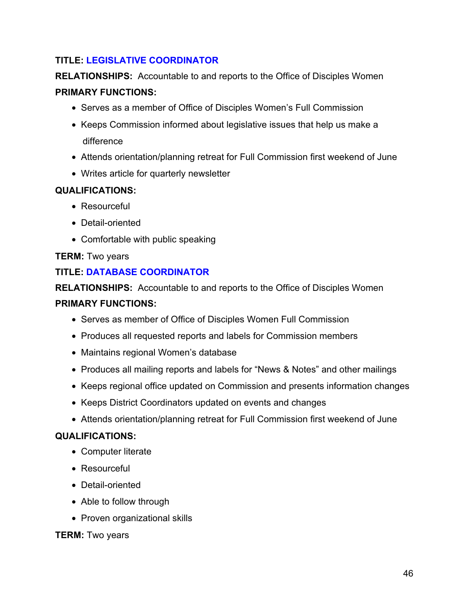# **TITLE: LEGISLATIVE COORDINATOR**

**RELATIONSHIPS:** Accountable to and reports to the Office of Disciples Women **PRIMARY FUNCTIONS:**

- Serves as a member of Office of Disciples Women's Full Commission
- Keeps Commission informed about legislative issues that help us make a difference
- Attends orientation/planning retreat for Full Commission first weekend of June
- Writes article for quarterly newsletter

# **QUALIFICATIONS:**

- Resourceful
- Detail-oriented
- Comfortable with public speaking

# **TERM:** Two years

# **TITLE: DATABASE COORDINATOR**

**RELATIONSHIPS:** Accountable to and reports to the Office of Disciples Women

# **PRIMARY FUNCTIONS:**

- Serves as member of Office of Disciples Women Full Commission
- Produces all requested reports and labels for Commission members
- Maintains regional Women's database
- Produces all mailing reports and labels for "News & Notes" and other mailings
- Keeps regional office updated on Commission and presents information changes
- Keeps District Coordinators updated on events and changes
- Attends orientation/planning retreat for Full Commission first weekend of June

# **QUALIFICATIONS:**

- Computer literate
- Resourceful
- Detail-oriented
- Able to follow through
- Proven organizational skills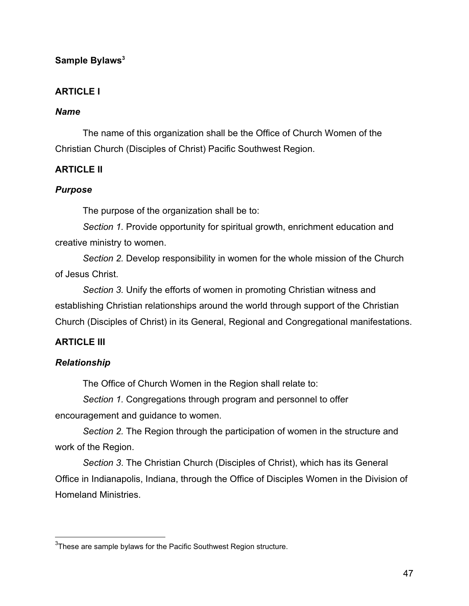# <span id="page-46-0"></span>Sample Bylaws<sup>3</sup>

# **ARTICLE I**

# *Name*

The name of this organization shall be the Office of Church Women of the Christian Church (Disciples of Christ) Pacific Southwest Region.

# **ARTICLE II**

# *Purpose*

The purpose of the organization shall be to:

*Section 1.* Provide opportunity for spiritual growth, enrichment education and creative ministry to women.

*Section 2.* Develop responsibility in women for the whole mission of the Church of Jesus Christ.

*Section 3.* Unify the efforts of women in promoting Christian witness and establishing Christian relationships around the world through support of the Christian Church (Disciples of Christ) in its General, Regional and Congregational manifestations.

# **ARTICLE III**

# *Relationship*

The Office of Church Women in the Region shall relate to:

*Section 1.* Congregations through program and personnel to offer

encouragement and guidance to women.

*Section 2.* The Region through the participation of women in the structure and work of the Region.

*Section 3*. The Christian Church (Disciples of Christ), which has its General Office in Indianapolis, Indiana, through the Office of Disciples Women in the Division of Homeland Ministries.

 <sup>3</sup> These are sample bylaws for the Pacific Southwest Region structure.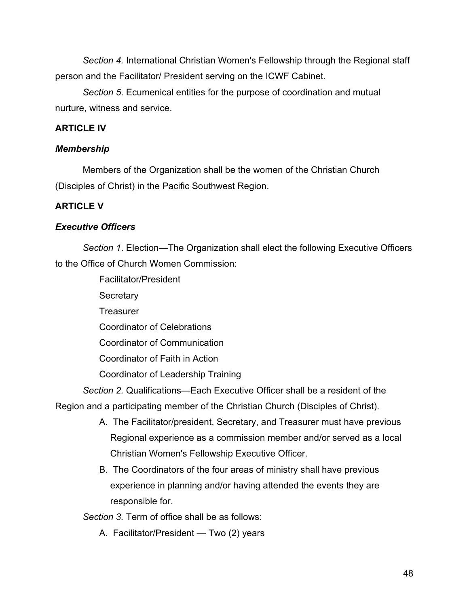*Section 4.* International Christian Women's Fellowship through the Regional staff person and the Facilitator/ President serving on the ICWF Cabinet.

*Section 5*. Ecumenical entities for the purpose of coordination and mutual nurture, witness and service.

# **ARTICLE IV**

# *Membership*

Members of the Organization shall be the women of the Christian Church (Disciples of Christ) in the Pacific Southwest Region.

# **ARTICLE V**

# *Executive Officers*

*Section 1*. Election—The Organization shall elect the following Executive Officers to the Office of Church Women Commission:

Facilitator/President

**Secretary** 

**Treasurer** 

Coordinator of Celebrations

Coordinator of Communication

Coordinator of Faith in Action

Coordinator of Leadership Training

*Section 2.* Qualifications—Each Executive Officer shall be a resident of the Region and a participating member of the Christian Church (Disciples of Christ).

- A. The Facilitator/president, Secretary, and Treasurer must have previous Regional experience as a commission member and/or served as a local Christian Women's Fellowship Executive Officer.
- B. The Coordinators of the four areas of ministry shall have previous experience in planning and/or having attended the events they are responsible for.

*Section 3.* Term of office shall be as follows:

A. Facilitator/President — Two (2) years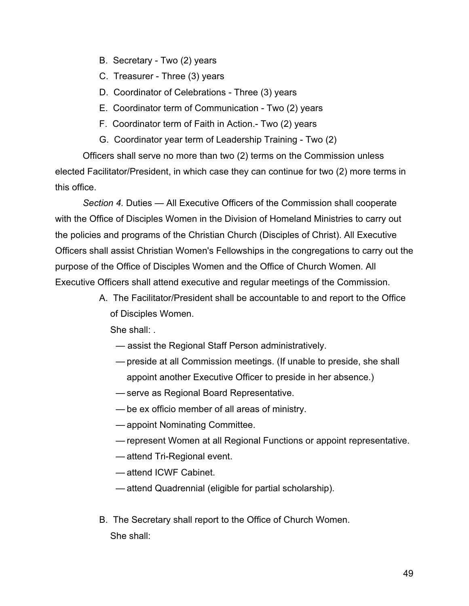- B. Secretary Two (2) years
- C. Treasurer Three (3) years
- D. Coordinator of Celebrations Three (3) years
- E. Coordinator term of Communication Two (2) years
- F. Coordinator term of Faith in Action.- Two (2) years
- G. Coordinator year term of Leadership Training Two (2)

Officers shall serve no more than two (2) terms on the Commission unless elected Facilitator/President, in which case they can continue for two (2) more terms in this office.

*Section 4.* Duties — All Executive Officers of the Commission shall cooperate with the Office of Disciples Women in the Division of Homeland Ministries to carry out the policies and programs of the Christian Church (Disciples of Christ). All Executive Officers shall assist Christian Women's Fellowships in the congregations to carry out the purpose of the Office of Disciples Women and the Office of Church Women. All Executive Officers shall attend executive and regular meetings of the Commission.

> A. The Facilitator/President shall be accountable to and report to the Office of Disciples Women.

- assist the Regional Staff Person administratively.
- preside at all Commission meetings. (If unable to preside, she shall appoint another Executive Officer to preside in her absence.)
- serve as Regional Board Representative.
- be ex officio member of all areas of ministry.
- appoint Nominating Committee.
- represent Women at all Regional Functions or appoint representative.
- attend Tri-Regional event.
- attend ICWF Cabinet.
- attend Quadrennial (eligible for partial scholarship).
- B. The Secretary shall report to the Office of Church Women. She shall: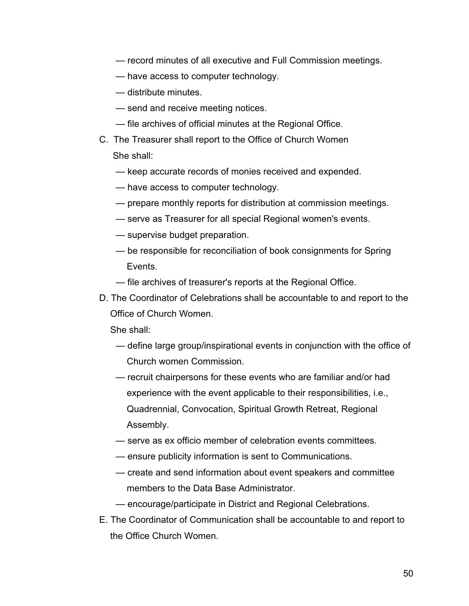- record minutes of all executive and Full Commission meetings.
- have access to computer technology.
- distribute minutes.
- send and receive meeting notices.
- file archives of official minutes at the Regional Office.
- C. The Treasurer shall report to the Office of Church Women She shall:
	- keep accurate records of monies received and expended.
	- have access to computer technology.
	- prepare monthly reports for distribution at commission meetings.
	- serve as Treasurer for all special Regional women's events.
	- supervise budget preparation.
	- be responsible for reconciliation of book consignments for Spring Events.
	- file archives of treasurer's reports at the Regional Office.
- D. The Coordinator of Celebrations shall be accountable to and report to the Office of Church Women.

- define large group/inspirational events in conjunction with the office of Church women Commission.
- recruit chairpersons for these events who are familiar and/or had experience with the event applicable to their responsibilities, i.e., Quadrennial, Convocation, Spiritual Growth Retreat, Regional Assembly.
- serve as ex officio member of celebration events committees.
- ensure publicity information is sent to Communications.
- create and send information about event speakers and committee members to the Data Base Administrator.
- encourage/participate in District and Regional Celebrations.
- E. The Coordinator of Communication shall be accountable to and report to the Office Church Women.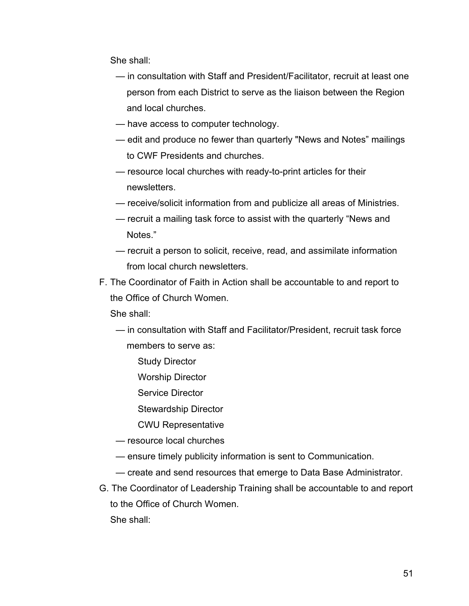She shall:

- in consultation with Staff and President/Facilitator, recruit at least one person from each District to serve as the liaison between the Region and local churches.
- have access to computer technology.
- edit and produce no fewer than quarterly "News and Notes" mailings to CWF Presidents and churches.
- resource local churches with ready-to-print articles for their newsletters.
- receive/solicit information from and publicize all areas of Ministries.
- recruit a mailing task force to assist with the quarterly "News and Notes."
- recruit a person to solicit, receive, read, and assimilate information from local church newsletters.
- F. The Coordinator of Faith in Action shall be accountable to and report to the Office of Church Women.

- in consultation with Staff and Facilitator/President, recruit task force members to serve as:
	- Study Director
	- Worship Director
	- Service Director
	- Stewardship Director
	- CWU Representative
- resource local churches
- ensure timely publicity information is sent to Communication.
- create and send resources that emerge to Data Base Administrator.
- G. The Coordinator of Leadership Training shall be accountable to and report to the Office of Church Women. She shall: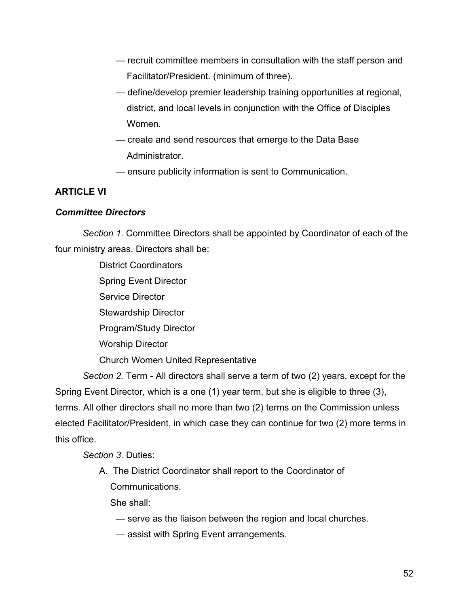- recruit committee members in consultation with the staff person and Facilitator/President. (minimum of three).
- define/develop premier leadership training opportunities at regional, district, and local levels in conjunction with the Office of Disciples Women.
- create and send resources that emerge to the Data Base Administrator.
- ensure publicity information is sent to Communication.

# **ARTICLE VI**

# *Committee Directors*

*Section 1.* Committee Directors shall be appointed by Coordinator of each of the four ministry areas. Directors shall be:

> District Coordinators Spring Event Director Service Director Stewardship Director Program/Study Director Worship Director Church Women United Representative

*Section 2.* Term - All directors shall serve a term of two (2) years, except for the Spring Event Director, which is a one (1) year term, but she is eligible to three (3), terms. All other directors shall no more than two (2) terms on the Commission unless elected Facilitator/President, in which case they can continue for two (2) more terms in this office.

*Section 3.* Duties:

A. The District Coordinator shall report to the Coordinator of Communications.

- serve as the liaison between the region and local churches.
- assist with Spring Event arrangements.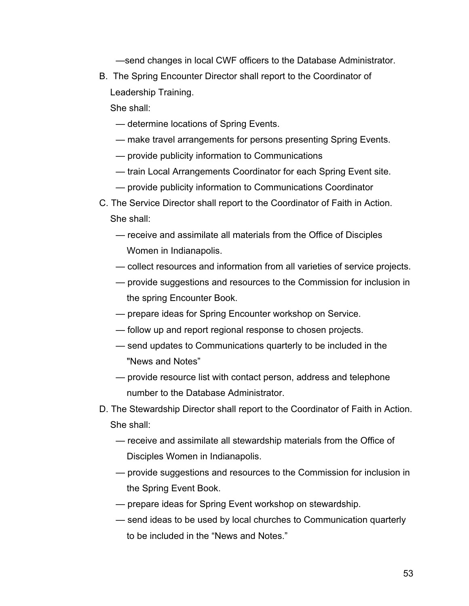—send changes in local CWF officers to the Database Administrator.

B. The Spring Encounter Director shall report to the Coordinator of Leadership Training.

- determine locations of Spring Events.
- make travel arrangements for persons presenting Spring Events.
- provide publicity information to Communications
- train Local Arrangements Coordinator for each Spring Event site.
- provide publicity information to Communications Coordinator
- C. The Service Director shall report to the Coordinator of Faith in Action. She shall:
	- receive and assimilate all materials from the Office of Disciples Women in Indianapolis.
	- collect resources and information from all varieties of service projects.
	- provide suggestions and resources to the Commission for inclusion in the spring Encounter Book.
	- prepare ideas for Spring Encounter workshop on Service.
	- follow up and report regional response to chosen projects.
	- send updates to Communications quarterly to be included in the "News and Notes"
	- provide resource list with contact person, address and telephone number to the Database Administrator.
- D. The Stewardship Director shall report to the Coordinator of Faith in Action. She shall:
	- receive and assimilate all stewardship materials from the Office of Disciples Women in Indianapolis.
	- provide suggestions and resources to the Commission for inclusion in the Spring Event Book.
	- prepare ideas for Spring Event workshop on stewardship.
	- send ideas to be used by local churches to Communication quarterly to be included in the "News and Notes."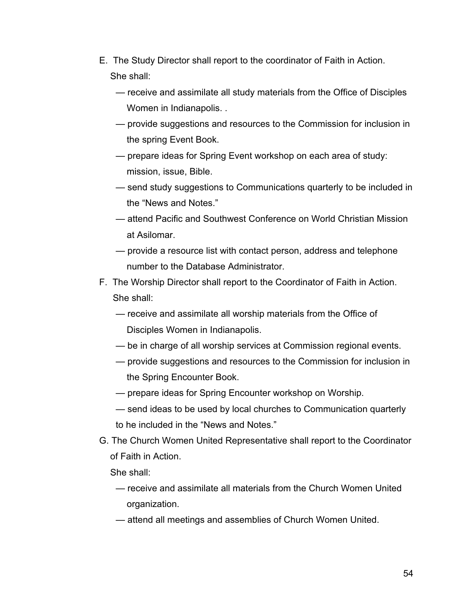- E. The Study Director shall report to the coordinator of Faith in Action. She shall:
	- receive and assimilate all study materials from the Office of Disciples Women in Indianapolis. .
	- provide suggestions and resources to the Commission for inclusion in the spring Event Book.
	- prepare ideas for Spring Event workshop on each area of study: mission, issue, Bible.
	- send study suggestions to Communications quarterly to be included in the "News and Notes."
	- attend Pacific and Southwest Conference on World Christian Mission at Asilomar.
	- provide a resource list with contact person, address and telephone number to the Database Administrator.
- F. The Worship Director shall report to the Coordinator of Faith in Action. She shall:
	- receive and assimilate all worship materials from the Office of Disciples Women in Indianapolis.
	- be in charge of all worship services at Commission regional events.
	- provide suggestions and resources to the Commission for inclusion in the Spring Encounter Book.
	- prepare ideas for Spring Encounter workshop on Worship.
	- send ideas to be used by local churches to Communication quarterly to he included in the "News and Notes."
- G. The Church Women United Representative shall report to the Coordinator of Faith in Action.
	- She shall:
	- receive and assimilate all materials from the Church Women United organization.
	- attend all meetings and assemblies of Church Women United.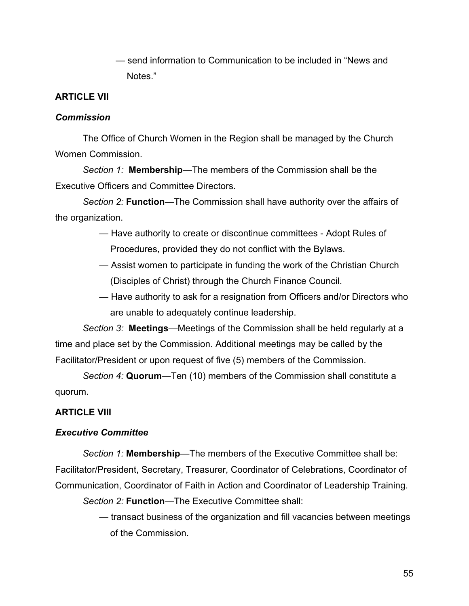— send information to Communication to be included in "News and Notes."

#### **ARTICLE VII**

#### *Commission*

The Office of Church Women in the Region shall be managed by the Church Women Commission.

*Section 1:* **Membership**—The members of the Commission shall be the Executive Officers and Committee Directors.

*Section 2:* **Function**—The Commission shall have authority over the affairs of the organization.

- Have authority to create or discontinue committees Adopt Rules of Procedures, provided they do not conflict with the Bylaws.
- Assist women to participate in funding the work of the Christian Church (Disciples of Christ) through the Church Finance Council.
- Have authority to ask for a resignation from Officers and/or Directors who are unable to adequately continue leadership.

*Section 3:* **Meetings**—Meetings of the Commission shall be held regularly at a time and place set by the Commission. Additional meetings may be called by the Facilitator/President or upon request of five (5) members of the Commission.

*Section 4:* **Quorum**—Ten (10) members of the Commission shall constitute a quorum.

#### **ARTICLE VIII**

#### *Executive Committee*

*Section 1:* **Membership**—The members of the Executive Committee shall be: Facilitator/President, Secretary, Treasurer, Coordinator of Celebrations, Coordinator of Communication, Coordinator of Faith in Action and Coordinator of Leadership Training.

*Section 2:* **Function**—The Executive Committee shall:

— transact business of the organization and fill vacancies between meetings of the Commission.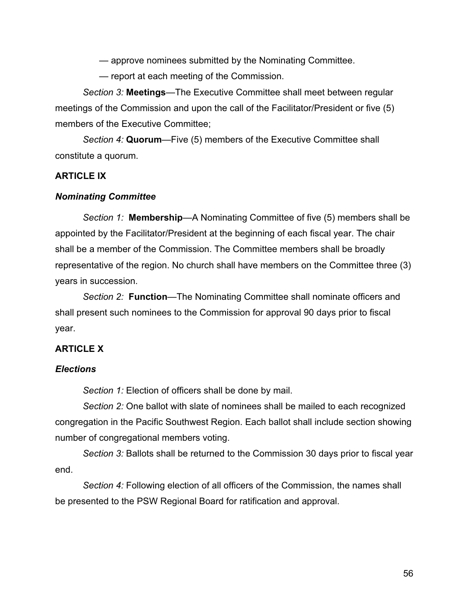— approve nominees submitted by the Nominating Committee.

— report at each meeting of the Commission.

*Section 3:* **Meetings**—The Executive Committee shall meet between regular meetings of the Commission and upon the call of the Facilitator/President or five (5) members of the Executive Committee;

*Section 4:* **Quorum**—Five (5) members of the Executive Committee shall constitute a quorum.

#### **ARTICLE IX**

#### *Nominating Committee*

*Section 1:* **Membership**—A Nominating Committee of five (5) members shall be appointed by the Facilitator/President at the beginning of each fiscal year. The chair shall be a member of the Commission. The Committee members shall be broadly representative of the region. No church shall have members on the Committee three (3) years in succession.

*Section 2:* **Function**—The Nominating Committee shall nominate officers and shall present such nominees to the Commission for approval 90 days prior to fiscal year.

#### **ARTICLE X**

#### *Elections*

*Section 1:* Election of officers shall be done by mail.

*Section 2:* One ballot with slate of nominees shall be mailed to each recognized congregation in the Pacific Southwest Region. Each ballot shall include section showing number of congregational members voting.

*Section 3:* Ballots shall be returned to the Commission 30 days prior to fiscal year end.

*Section 4:* Following election of all officers of the Commission, the names shall be presented to the PSW Regional Board for ratification and approval.